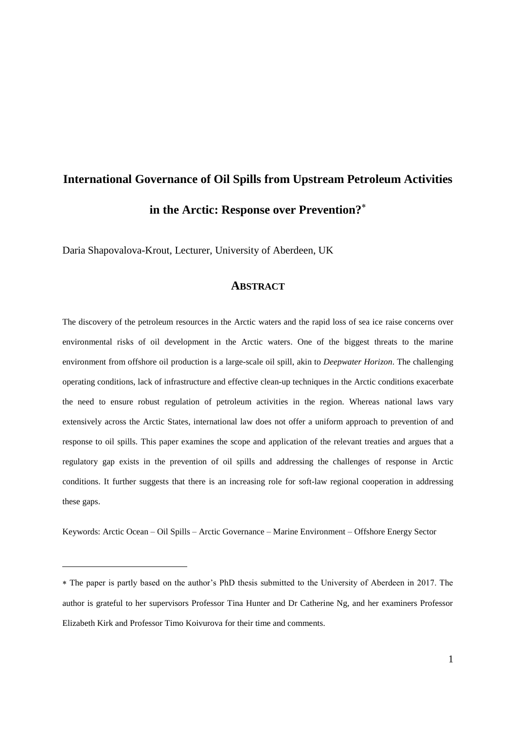# **International Governance of Oil Spills from Upstream Petroleum Activities in the Arctic: Response over Prevention?**

Daria Shapovalova-Krout, Lecturer, University of Aberdeen, UK

### **ABSTRACT**

The discovery of the petroleum resources in the Arctic waters and the rapid loss of sea ice raise concerns over environmental risks of oil development in the Arctic waters. One of the biggest threats to the marine environment from offshore oil production is a large-scale oil spill, akin to *Deepwater Horizon*. The challenging operating conditions, lack of infrastructure and effective clean-up techniques in the Arctic conditions exacerbate the need to ensure robust regulation of petroleum activities in the region. Whereas national laws vary extensively across the Arctic States, international law does not offer a uniform approach to prevention of and response to oil spills. This paper examines the scope and application of the relevant treaties and argues that a regulatory gap exists in the prevention of oil spills and addressing the challenges of response in Arctic conditions. It further suggests that there is an increasing role for soft-law regional cooperation in addressing these gaps.

Keywords: Arctic Ocean – Oil Spills – Arctic Governance – Marine Environment – Offshore Energy Sector

The paper is partly based on the author's PhD thesis submitted to the University of Aberdeen in 2017. The author is grateful to her supervisors Professor Tina Hunter and Dr Catherine Ng, and her examiners Professor Elizabeth Kirk and Professor Timo Koivurova for their time and comments.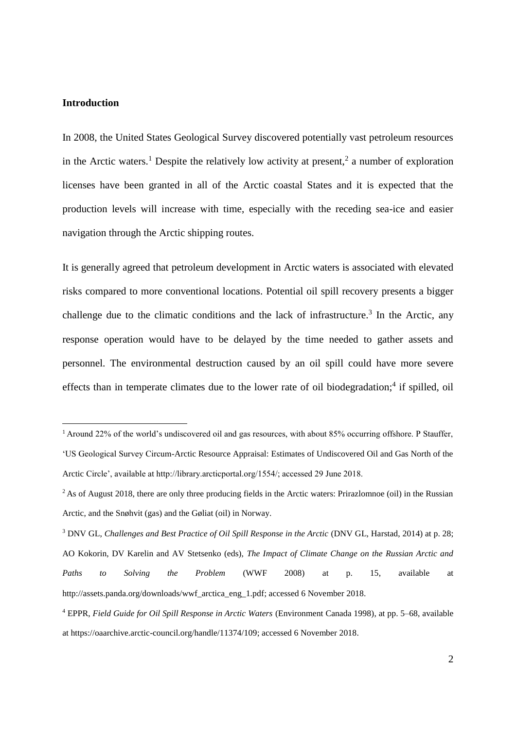### **Introduction**

1

In 2008, the United States Geological Survey discovered potentially vast petroleum resources in the Arctic waters.<sup>1</sup> Despite the relatively low activity at present,<sup>2</sup> a number of exploration licenses have been granted in all of the Arctic coastal States and it is expected that the production levels will increase with time, especially with the receding sea-ice and easier navigation through the Arctic shipping routes.

It is generally agreed that petroleum development in Arctic waters is associated with elevated risks compared to more conventional locations. Potential oil spill recovery presents a bigger challenge due to the climatic conditions and the lack of infrastructure.<sup>3</sup> In the Arctic, any response operation would have to be delayed by the time needed to gather assets and personnel. The environmental destruction caused by an oil spill could have more severe effects than in temperate climates due to the lower rate of oil biodegradation;<sup>4</sup> if spilled, oil

<sup>1</sup> Around 22% of the world's undiscovered oil and gas resources, with about 85% occurring offshore. P Stauffer, 'US Geological Survey Circum-Arctic Resource Appraisal: Estimates of Undiscovered Oil and Gas North of the Arctic Circle', available at http://library.arcticportal.org/1554/; accessed 29 June 2018.

<sup>&</sup>lt;sup>2</sup> As of August 2018, there are only three producing fields in the Arctic waters: Prirazlomnoe (oil) in the Russian Arctic, and the Snøhvit (gas) and the Gøliat (oil) in Norway.

<sup>3</sup> DNV GL, *Challenges and Best Practice of Oil Spill Response in the Arctic* (DNV GL, Harstad, 2014) at p. 28; AO Kokorin, DV Karelin and AV Stetsenko (eds), *The Impact of Climate Change on the Russian Arctic and Paths to Solving the Problem* (WWF 2008) at p. 15, available at http://assets.panda.org/downloads/wwf\_arctica\_eng\_1.pdf; accessed 6 November 2018.

<sup>4</sup> EPPR, *Field Guide for Oil Spill Response in Arctic Waters* (Environment Canada 1998), at pp. 5–68, available at https://oaarchive.arctic-council.org/handle/11374/109; accessed 6 November 2018.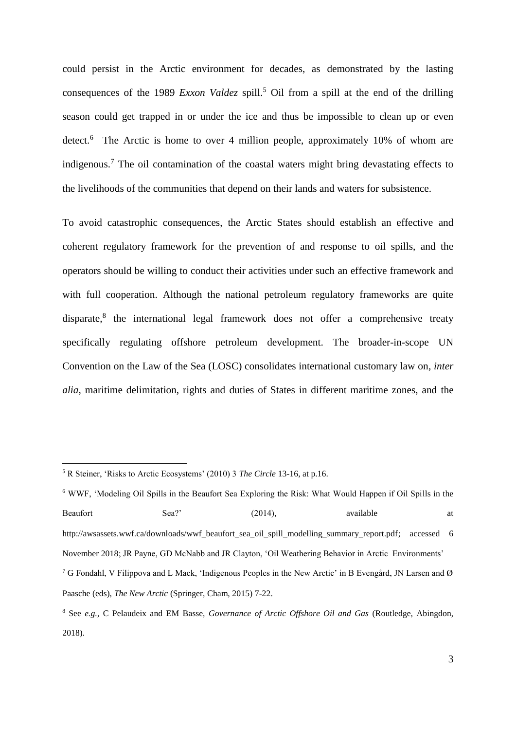could persist in the Arctic environment for decades, as demonstrated by the lasting consequences of the 1989 *Exxon Valdez* spill.<sup>5</sup> Oil from a spill at the end of the drilling season could get trapped in or under the ice and thus be impossible to clean up or even detect.<sup>6</sup> The Arctic is home to over 4 million people, approximately 10% of whom are indigenous. <sup>7</sup> The oil contamination of the coastal waters might bring devastating effects to the livelihoods of the communities that depend on their lands and waters for subsistence.

To avoid catastrophic consequences, the Arctic States should establish an effective and coherent regulatory framework for the prevention of and response to oil spills, and the operators should be willing to conduct their activities under such an effective framework and with full cooperation. Although the national petroleum regulatory frameworks are quite disparate,<sup>8</sup> the international legal framework does not offer a comprehensive treaty specifically regulating offshore petroleum development. The broader-in-scope UN Convention on the Law of the Sea (LOSC) consolidates international customary law on, *inter alia,* maritime delimitation, rights and duties of States in different maritime zones, and the

<sup>5</sup> R Steiner, 'Risks to Arctic Ecosystems' (2010) 3 *The Circle* 13-16, at p.16.

<sup>6</sup> WWF, 'Modeling Oil Spills in the Beaufort Sea Exploring the Risk: What Would Happen if Oil Spills in the Beaufort Sea?' (2014), available at a http://awsassets.wwf.ca/downloads/wwf\_beaufort\_sea\_oil\_spill\_modelling\_summary\_report.pdf; accessed 6 November 2018; JR Payne, GD McNabb and JR Clayton, 'Oil Weathering Behavior in Arctic Environments' <sup>7</sup> G Fondahl, V Filippova and L Mack, 'Indigenous Peoples in the New Arctic' in B Evengård, JN Larsen and Ø Paasche (eds), *The New Arctic* (Springer, Cham, 2015) 7-22.

<sup>8</sup> See *e.g.,* C Pelaudeix and EM Basse, *Governance of Arctic Offshore Oil and Gas* (Routledge, Abingdon, 2018).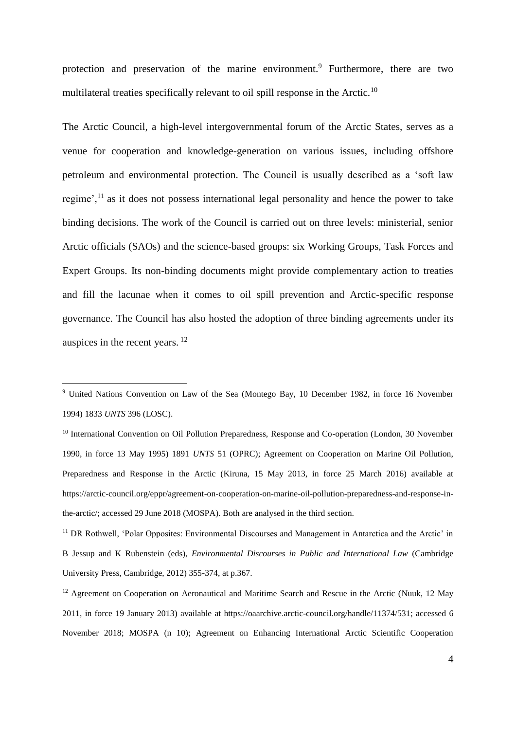protection and preservation of the marine environment.<sup>9</sup> Furthermore, there are two multilateral treaties specifically relevant to oil spill response in the Arctic.<sup>10</sup>

The Arctic Council, a high-level intergovernmental forum of the Arctic States, serves as a venue for cooperation and knowledge-generation on various issues, including offshore petroleum and environmental protection. The Council is usually described as a 'soft law regime', $<sup>11</sup>$  as it does not possess international legal personality and hence the power to take</sup> binding decisions. The work of the Council is carried out on three levels: ministerial, senior Arctic officials (SAOs) and the science-based groups: six Working Groups, Task Forces and Expert Groups. Its non-binding documents might provide complementary action to treaties and fill the lacunae when it comes to oil spill prevention and Arctic-specific response governance. The Council has also hosted the adoption of three binding agreements under its auspices in the recent years. <sup>12</sup>

<sup>&</sup>lt;sup>9</sup> United Nations Convention on Law of the Sea (Montego Bay, 10 December 1982, in force 16 November 1994) 1833 *UNTS* 396 (LOSC).

<sup>&</sup>lt;sup>10</sup> International Convention on Oil Pollution Preparedness, Response and Co-operation (London, 30 November 1990, in force 13 May 1995) 1891 *UNTS* 51 (OPRC); Agreement on Cooperation on Marine Oil Pollution, Preparedness and Response in the Arctic (Kiruna, 15 May 2013, in force 25 March 2016) available at https://arctic-council.org/eppr/agreement-on-cooperation-on-marine-oil-pollution-preparedness-and-response-inthe-arctic/; accessed 29 June 2018 (MOSPA). Both are analysed in the third section.

<sup>&</sup>lt;sup>11</sup> DR Rothwell, 'Polar Opposites: Environmental Discourses and Management in Antarctica and the Arctic' in B Jessup and K Rubenstein (eds), *Environmental Discourses in Public and International Law* (Cambridge University Press, Cambridge, 2012) 355-374, at p.367.

<sup>&</sup>lt;sup>12</sup> Agreement on Cooperation on Aeronautical and Maritime Search and Rescue in the Arctic (Nuuk, 12 May 2011, in force 19 January 2013) available at https://oaarchive.arctic-council.org/handle/11374/531; accessed 6 November 2018; MOSPA (n 10); Agreement on Enhancing International Arctic Scientific Cooperation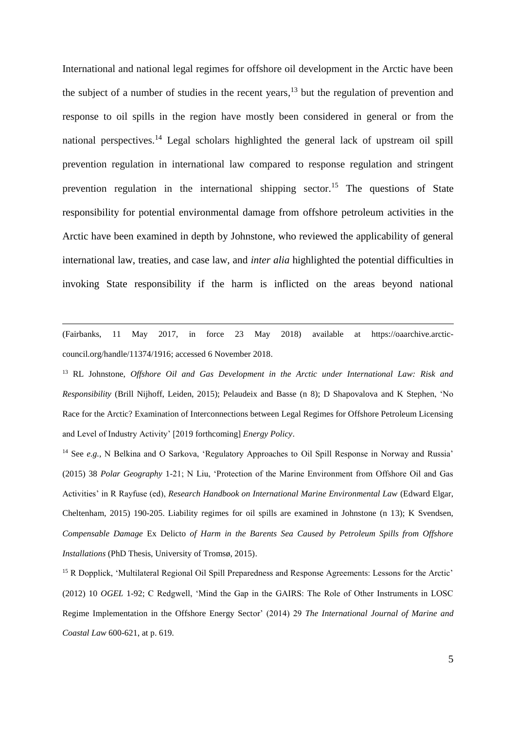International and national legal regimes for offshore oil development in the Arctic have been the subject of a number of studies in the recent years,  $13$  but the regulation of prevention and response to oil spills in the region have mostly been considered in general or from the national perspectives.<sup>14</sup> Legal scholars highlighted the general lack of upstream oil spill prevention regulation in international law compared to response regulation and stringent prevention regulation in the international shipping sector.<sup>15</sup> The questions of State responsibility for potential environmental damage from offshore petroleum activities in the Arctic have been examined in depth by Johnstone, who reviewed the applicability of general international law, treaties, and case law, and *inter alia* highlighted the potential difficulties in invoking State responsibility if the harm is inflicted on the areas beyond national

(Fairbanks, 11 May 2017, in force 23 May 2018) available at https://oaarchive.arcticcouncil.org/handle/11374/1916; accessed 6 November 2018.

1

<sup>13</sup> RL Johnstone, *Offshore Oil and Gas Development in the Arctic under International Law: Risk and Responsibility* (Brill Nijhoff, Leiden, 2015); Pelaudeix and Basse (n 8); D Shapovalova and K Stephen, 'No Race for the Arctic? Examination of Interconnections between Legal Regimes for Offshore Petroleum Licensing and Level of Industry Activity' [2019 forthcoming] *Energy Policy*.

<sup>14</sup> See *e.g.*, N Belkina and O Sarkova, 'Regulatory Approaches to Oil Spill Response in Norway and Russia' (2015) 38 *Polar Geography* 1-21; N Liu, 'Protection of the Marine Environment from Offshore Oil and Gas Activities' in R Rayfuse (ed), *Research Handbook on International Marine Environmental Law* (Edward Elgar, Cheltenham, 2015) 190-205. Liability regimes for oil spills are examined in Johnstone (n 13); K Svendsen, *Compensable Damage* Ex Delicto *of Harm in the Barents Sea Caused by Petroleum Spills from Offshore Installations* (PhD Thesis, University of Tromsø, 2015).

<sup>15</sup> R Dopplick, 'Multilateral Regional Oil Spill Preparedness and Response Agreements: Lessons for the Arctic' (2012) 10 *OGEL* 1-92; C Redgwell, 'Mind the Gap in the GAIRS: The Role of Other Instruments in LOSC Regime Implementation in the Offshore Energy Sector' (2014) 29 *The International Journal of Marine and Coastal Law* 600-621, at p. 619.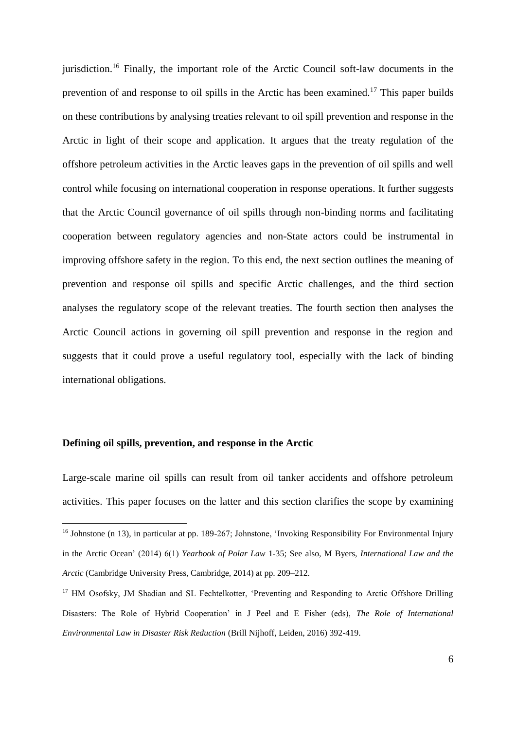jurisdiction.<sup>16</sup> Finally, the important role of the Arctic Council soft-law documents in the prevention of and response to oil spills in the Arctic has been examined.<sup>17</sup> This paper builds on these contributions by analysing treaties relevant to oil spill prevention and response in the Arctic in light of their scope and application. It argues that the treaty regulation of the offshore petroleum activities in the Arctic leaves gaps in the prevention of oil spills and well control while focusing on international cooperation in response operations. It further suggests that the Arctic Council governance of oil spills through non-binding norms and facilitating cooperation between regulatory agencies and non-State actors could be instrumental in improving offshore safety in the region. To this end, the next section outlines the meaning of prevention and response oil spills and specific Arctic challenges, and the third section analyses the regulatory scope of the relevant treaties. The fourth section then analyses the Arctic Council actions in governing oil spill prevention and response in the region and suggests that it could prove a useful regulatory tool, especially with the lack of binding international obligations.

#### **Defining oil spills, prevention, and response in the Arctic**

1

Large-scale marine oil spills can result from oil tanker accidents and offshore petroleum activities. This paper focuses on the latter and this section clarifies the scope by examining

<sup>&</sup>lt;sup>16</sup> Johnstone (n 13), in particular at pp. 189-267; Johnstone, 'Invoking Responsibility For Environmental Injury in the Arctic Ocean' (2014) 6(1) *Yearbook of Polar Law* 1-35; See also, M Byers, *International Law and the Arctic* (Cambridge University Press, Cambridge, 2014) at pp. 209–212.

<sup>&</sup>lt;sup>17</sup> HM Osofsky, JM Shadian and SL Fechtelkotter, 'Preventing and Responding to Arctic Offshore Drilling Disasters: The Role of Hybrid Cooperation' in J Peel and E Fisher (eds), *The Role of International Environmental Law in Disaster Risk Reduction* (Brill Nijhoff, Leiden, 2016) 392-419.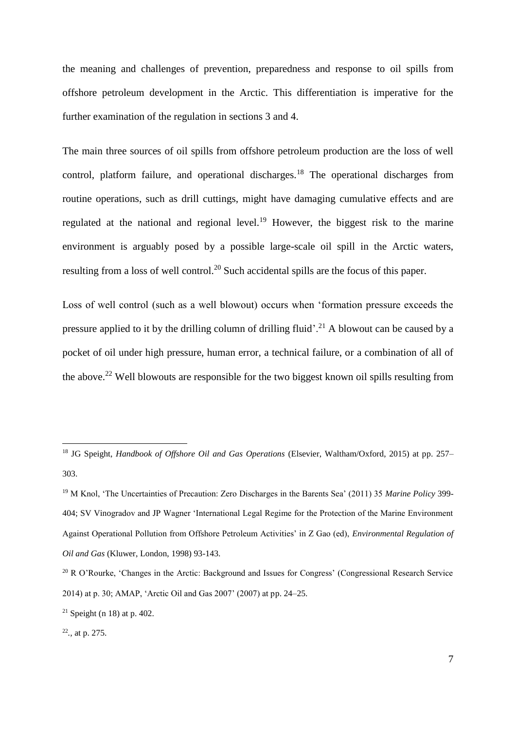the meaning and challenges of prevention, preparedness and response to oil spills from offshore petroleum development in the Arctic. This differentiation is imperative for the further examination of the regulation in sections 3 and 4.

The main three sources of oil spills from offshore petroleum production are the loss of well control, platform failure, and operational discharges.<sup>18</sup> The operational discharges from routine operations, such as drill cuttings, might have damaging cumulative effects and are regulated at the national and regional level.<sup>19</sup> However, the biggest risk to the marine environment is arguably posed by a possible large-scale oil spill in the Arctic waters, resulting from a loss of well control.<sup>20</sup> Such accidental spills are the focus of this paper.

Loss of well control (such as a well blowout) occurs when 'formation pressure exceeds the pressure applied to it by the drilling column of drilling fluid'.<sup>21</sup> A blowout can be caused by a pocket of oil under high pressure, human error, a technical failure, or a combination of all of the above.<sup>22</sup> Well blowouts are responsible for the two biggest known oil spills resulting from

<sup>18</sup> JG Speight, *Handbook of Offshore Oil and Gas Operations* (Elsevier, Waltham/Oxford, 2015) at pp. 257– 303.

<sup>19</sup> M Knol, 'The Uncertainties of Precaution: Zero Discharges in the Barents Sea' (2011) 35 *Marine Policy* 399- 404; SV Vinogradov and JP Wagner 'International Legal Regime for the Protection of the Marine Environment Against Operational Pollution from Offshore Petroleum Activities' in Z Gao (ed), *Environmental Regulation of Oil and Gas* (Kluwer, London, 1998) 93-143.

<sup>&</sup>lt;sup>20</sup> R O'Rourke, 'Changes in the Arctic: Background and Issues for Congress' (Congressional Research Service 2014) at p. 30; AMAP, 'Arctic Oil and Gas 2007' (2007) at pp. 24–25.

<sup>&</sup>lt;sup>21</sup> Speight (n 18) at p. 402.

<sup>22</sup> *.,* at p. 275.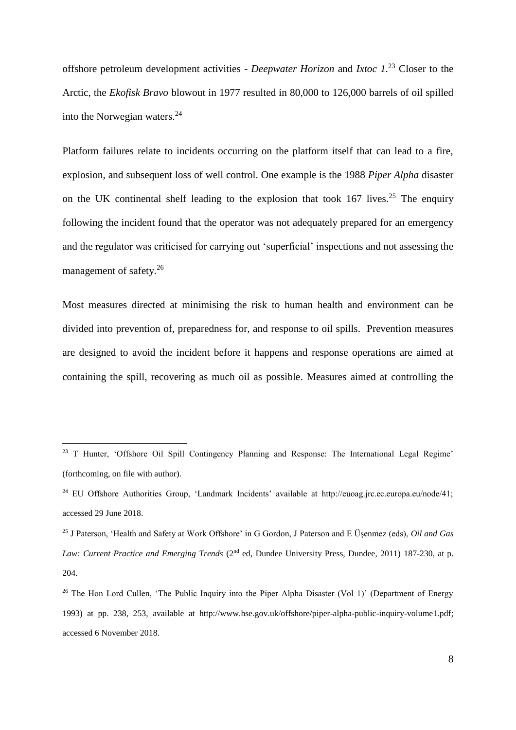offshore petroleum development activities - *Deepwater Horizon* and *Ixtoc 1.*<sup>23</sup> Closer to the Arctic, the *Ekofisk Bravo* blowout in 1977 resulted in 80,000 to 126,000 barrels of oil spilled into the Norwegian waters.<sup>24</sup>

Platform failures relate to incidents occurring on the platform itself that can lead to a fire, explosion, and subsequent loss of well control. One example is the 1988 *Piper Alpha* disaster on the UK continental shelf leading to the explosion that took  $167$  lives.<sup>25</sup> The enquiry following the incident found that the operator was not adequately prepared for an emergency and the regulator was criticised for carrying out 'superficial' inspections and not assessing the management of safety.<sup>26</sup>

Most measures directed at minimising the risk to human health and environment can be divided into prevention of, preparedness for, and response to oil spills. Prevention measures are designed to avoid the incident before it happens and response operations are aimed at containing the spill, recovering as much oil as possible. Measures aimed at controlling the

<sup>&</sup>lt;sup>23</sup> T Hunter, 'Offshore Oil Spill Contingency Planning and Response: The International Legal Regime' (forthcoming, on file with author).

<sup>&</sup>lt;sup>24</sup> EU Offshore Authorities Group, 'Landmark Incidents' available at http://euoag.jrc.ec.europa.eu/node/41; accessed 29 June 2018.

<sup>25</sup> J Paterson, 'Health and Safety at Work Offshore' in G Gordon, J Paterson and E Üşenmez (eds), *Oil and Gas Law: Current Practice and Emerging Trends* (2<sup>nd</sup> ed, Dundee University Press, Dundee, 2011) 187-230, at p. 204.

<sup>&</sup>lt;sup>26</sup> The Hon Lord Cullen, 'The Public Inquiry into the Piper Alpha Disaster (Vol 1)' (Department of Energy 1993) at pp. 238, 253, available at http://www.hse.gov.uk/offshore/piper-alpha-public-inquiry-volume1.pdf; accessed 6 November 2018.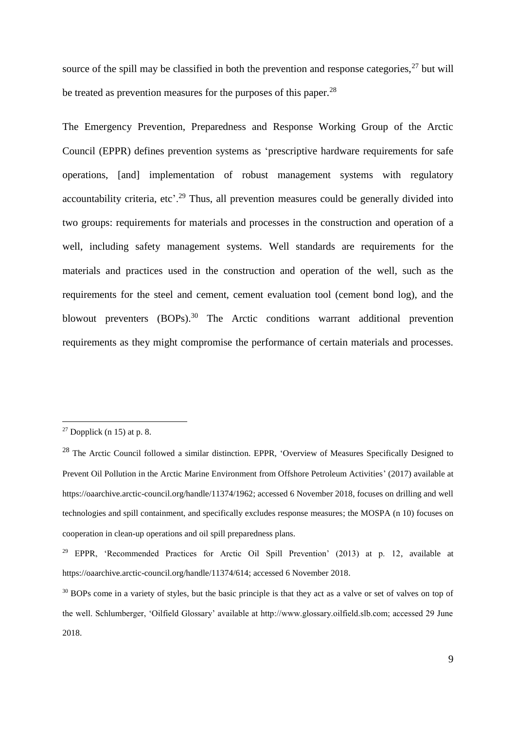source of the spill may be classified in both the prevention and response categories,  $27$  but will be treated as prevention measures for the purposes of this paper.  $^{28}$ 

The Emergency Prevention, Preparedness and Response Working Group of the Arctic Council (EPPR) defines prevention systems as 'prescriptive hardware requirements for safe operations, [and] implementation of robust management systems with regulatory accountability criteria, etc'.<sup>29</sup> Thus, all prevention measures could be generally divided into two groups: requirements for materials and processes in the construction and operation of a well, including safety management systems. Well standards are requirements for the materials and practices used in the construction and operation of the well, such as the requirements for the steel and cement, cement evaluation tool (cement bond log), and the blowout preventers (BOPs).<sup>30</sup> The Arctic conditions warrant additional prevention requirements as they might compromise the performance of certain materials and processes.

<sup>&</sup>lt;sup>27</sup> Dopplick (n 15) at p. 8.

<sup>&</sup>lt;sup>28</sup> The Arctic Council followed a similar distinction. EPPR, 'Overview of Measures Specifically Designed to Prevent Oil Pollution in the Arctic Marine Environment from Offshore Petroleum Activities' (2017) available at https://oaarchive.arctic-council.org/handle/11374/1962; accessed 6 November 2018, focuses on drilling and well technologies and spill containment, and specifically excludes response measures; the MOSPA (n 10) focuses on cooperation in clean-up operations and oil spill preparedness plans.

<sup>&</sup>lt;sup>29</sup> EPPR, 'Recommended Practices for Arctic Oil Spill Prevention' (2013) at p. 12, available at https://oaarchive.arctic-council.org/handle/11374/614; accessed 6 November 2018.

<sup>&</sup>lt;sup>30</sup> BOPs come in a variety of styles, but the basic principle is that they act as a valve or set of valves on top of the well. Schlumberger, 'Oilfield Glossary' available at http://www.glossary.oilfield.slb.com; accessed 29 June 2018.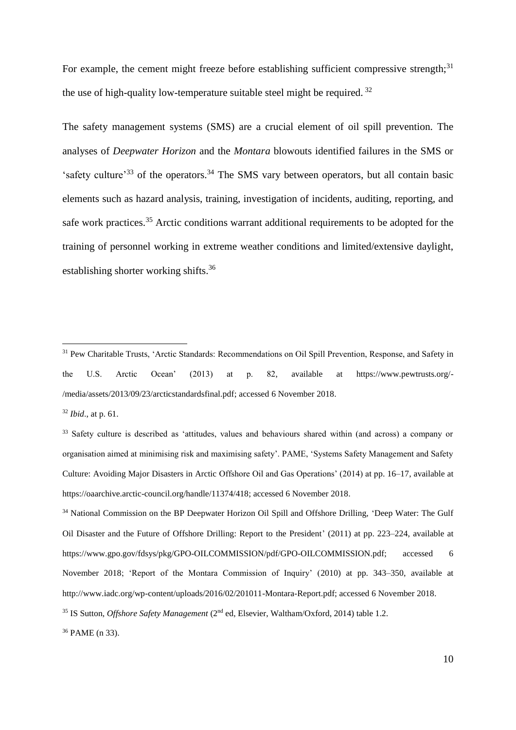For example, the cement might freeze before establishing sufficient compressive strength:<sup>31</sup> the use of high-quality low-temperature suitable steel might be required.  $32$ 

The safety management systems (SMS) are a crucial element of oil spill prevention. The analyses of *Deepwater Horizon* and the *Montara* blowouts identified failures in the SMS or 'safety culture'<sup>33</sup> of the operators.<sup>34</sup> The SMS vary between operators, but all contain basic elements such as hazard analysis, training, investigation of incidents, auditing, reporting, and safe work practices.<sup>35</sup> Arctic conditions warrant additional requirements to be adopted for the training of personnel working in extreme weather conditions and limited/extensive daylight, establishing shorter working shifts.<sup>36</sup>

<sup>32</sup> *Ibid*., at p. 61.

<u>.</u>

<sup>36</sup> PAME (n 33).

<sup>&</sup>lt;sup>31</sup> Pew Charitable Trusts, 'Arctic Standards: Recommendations on Oil Spill Prevention, Response, and Safety in the U.S. Arctic Ocean' (2013) at p. 82, available at https://www.pewtrusts.org/- /media/assets/2013/09/23/arcticstandardsfinal.pdf; accessed 6 November 2018.

<sup>&</sup>lt;sup>33</sup> Safety culture is described as 'attitudes, values and behaviours shared within (and across) a company or organisation aimed at minimising risk and maximising safety'. PAME, 'Systems Safety Management and Safety Culture: Avoiding Major Disasters in Arctic Offshore Oil and Gas Operations' (2014) at pp. 16–17, available at https://oaarchive.arctic-council.org/handle/11374/418; accessed 6 November 2018.

<sup>&</sup>lt;sup>34</sup> National Commission on the BP Deepwater Horizon Oil Spill and Offshore Drilling, 'Deep Water: The Gulf Oil Disaster and the Future of Offshore Drilling: Report to the President' (2011) at pp. 223–224, available at https://www.gpo.gov/fdsys/pkg/GPO-OILCOMMISSION/pdf/GPO-OILCOMMISSION.pdf; accessed 6 November 2018; 'Report of the Montara Commission of Inquiry' (2010) at pp. 343–350, available at http://www.iadc.org/wp-content/uploads/2016/02/201011-Montara-Report.pdf; accessed 6 November 2018. <sup>35</sup> IS Sutton, *Offshore Safety Management* (2<sup>nd</sup> ed, Elsevier, Waltham/Oxford, 2014) table 1.2.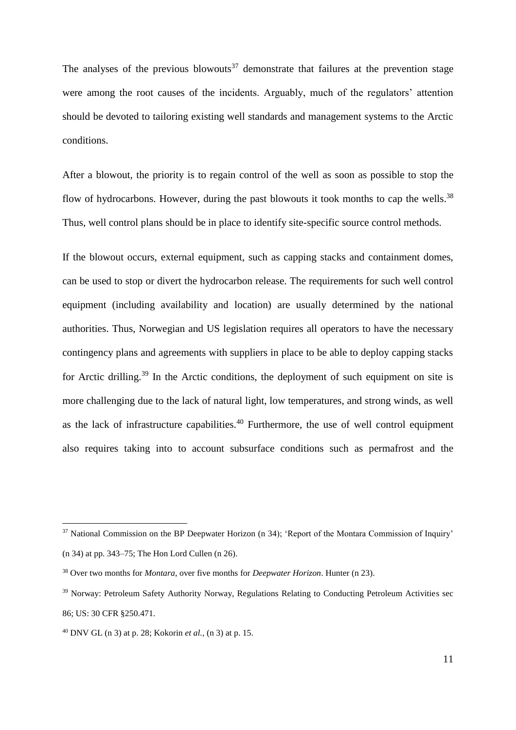The analyses of the previous blowouts<sup>37</sup> demonstrate that failures at the prevention stage were among the root causes of the incidents. Arguably, much of the regulators' attention should be devoted to tailoring existing well standards and management systems to the Arctic conditions.

After a blowout, the priority is to regain control of the well as soon as possible to stop the flow of hydrocarbons. However, during the past blowouts it took months to cap the wells.<sup>38</sup> Thus, well control plans should be in place to identify site-specific source control methods.

If the blowout occurs, external equipment, such as capping stacks and containment domes, can be used to stop or divert the hydrocarbon release. The requirements for such well control equipment (including availability and location) are usually determined by the national authorities. Thus, Norwegian and US legislation requires all operators to have the necessary contingency plans and agreements with suppliers in place to be able to deploy capping stacks for Arctic drilling.<sup>39</sup> In the Arctic conditions, the deployment of such equipment on site is more challenging due to the lack of natural light, low temperatures, and strong winds, as well as the lack of infrastructure capabilities.<sup>40</sup> Furthermore, the use of well control equipment also requires taking into to account subsurface conditions such as permafrost and the

<sup>&</sup>lt;sup>37</sup> National Commission on the BP Deepwater Horizon (n 34); 'Report of the Montara Commission of Inquiry' (n 34) at pp. 343–75; The Hon Lord Cullen (n 26).

<sup>38</sup> Over two months for *Montara*, over five months for *Deepwater Horizon*. Hunter (n 23).

<sup>&</sup>lt;sup>39</sup> Norway: Petroleum Safety Authority Norway, Regulations Relating to Conducting Petroleum Activities sec 86; US: 30 CFR §250.471.

<sup>40</sup> DNV GL (n 3) at p. 28; Kokorin *et al.,* (n 3) at p. 15.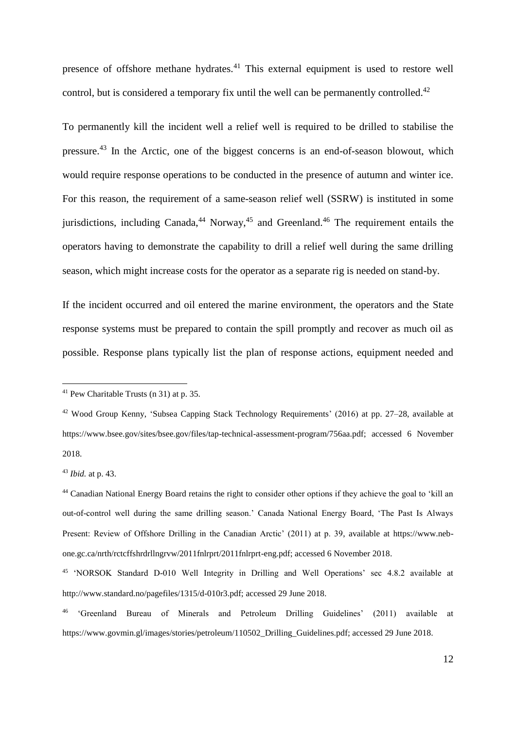presence of offshore methane hydrates.<sup>41</sup> This external equipment is used to restore well control, but is considered a temporary fix until the well can be permanently controlled.<sup>42</sup>

To permanently kill the incident well a relief well is required to be drilled to stabilise the pressure.<sup>43</sup> In the Arctic, one of the biggest concerns is an end-of-season blowout, which would require response operations to be conducted in the presence of autumn and winter ice. For this reason, the requirement of a same-season relief well (SSRW) is instituted in some jurisdictions, including Canada,<sup>44</sup> Norway,<sup>45</sup> and Greenland.<sup>46</sup> The requirement entails the operators having to demonstrate the capability to drill a relief well during the same drilling season, which might increase costs for the operator as a separate rig is needed on stand-by.

If the incident occurred and oil entered the marine environment, the operators and the State response systems must be prepared to contain the spill promptly and recover as much oil as possible. Response plans typically list the plan of response actions, equipment needed and

<sup>43</sup> *Ibid.* at p. 43.

<sup>41</sup> Pew Charitable Trusts (n 31) at p. 35.

<sup>42</sup> Wood Group Kenny, 'Subsea Capping Stack Technology Requirements' (2016) at pp. 27–28, available at https://www.bsee.gov/sites/bsee.gov/files/tap-technical-assessment-program/756aa.pdf; accessed 6 November 2018.

<sup>44</sup> Canadian National Energy Board retains the right to consider other options if they achieve the goal to 'kill an out-of-control well during the same drilling season.' Canada National Energy Board, 'The Past Is Always Present: Review of Offshore Drilling in the Canadian Arctic' (2011) at p. 39, available at https://www.nebone.gc.ca/nrth/rctcffshrdrllngrvw/2011fnlrprt/2011fnlrprt-eng.pdf; accessed 6 November 2018.

<sup>45</sup> 'NORSOK Standard D-010 Well Integrity in Drilling and Well Operations' sec 4.8.2 available at http://www.standard.no/pagefiles/1315/d-010r3.pdf; accessed 29 June 2018.

<sup>46</sup> 'Greenland Bureau of Minerals and Petroleum Drilling Guidelines' (2011) available at https://www.govmin.gl/images/stories/petroleum/110502\_Drilling\_Guidelines.pdf; accessed 29 June 2018.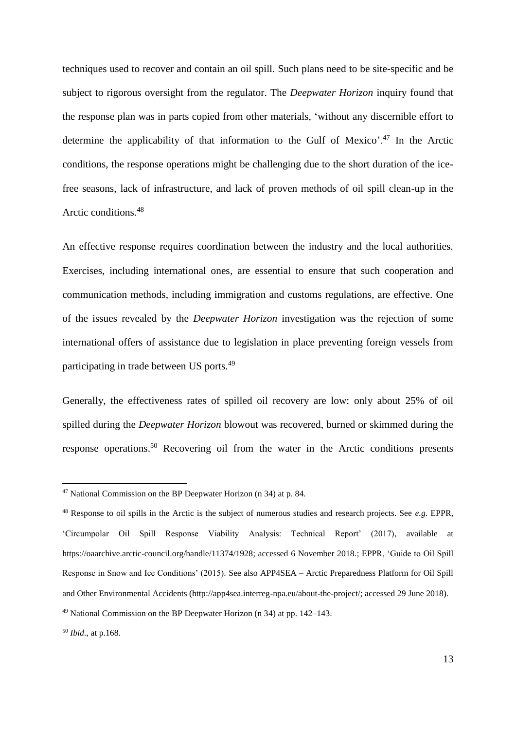techniques used to recover and contain an oil spill. Such plans need to be site-specific and be subject to rigorous oversight from the regulator. The *Deepwater Horizon* inquiry found that the response plan was in parts copied from other materials, 'without any discernible effort to determine the applicability of that information to the Gulf of Mexico'.<sup>47</sup> In the Arctic conditions, the response operations might be challenging due to the short duration of the icefree seasons, lack of infrastructure, and lack of proven methods of oil spill clean-up in the Arctic conditions.<sup>48</sup>

An effective response requires coordination between the industry and the local authorities. Exercises, including international ones, are essential to ensure that such cooperation and communication methods, including immigration and customs regulations, are effective. One of the issues revealed by the *Deepwater Horizon* investigation was the rejection of some international offers of assistance due to legislation in place preventing foreign vessels from participating in trade between US ports.<sup>49</sup>

Generally, the effectiveness rates of spilled oil recovery are low: only about 25% of oil spilled during the *Deepwater Horizon* blowout was recovered, burned or skimmed during the response operations.<sup>50</sup> Recovering oil from the water in the Arctic conditions presents

 $47$  National Commission on the BP Deepwater Horizon (n 34) at p. 84.

<sup>48</sup> Response to oil spills in the Arctic is the subject of numerous studies and research projects. See *e.g.* EPPR, 'Circumpolar Oil Spill Response Viability Analysis: Technical Report' (2017), available at https://oaarchive.arctic-council.org/handle/11374/1928; accessed 6 November 2018.; EPPR, 'Guide to Oil Spill Response in Snow and Ice Conditions' (2015). See also APP4SEA – Arctic Preparedness Platform for Oil Spill and Other Environmental Accidents (http://app4sea.interreg-npa.eu/about-the-project/; accessed 29 June 2018).

<sup>49</sup> National Commission on the BP Deepwater Horizon (n 34) at pp. 142–143.

<sup>50</sup> *Ibid*., at p.168.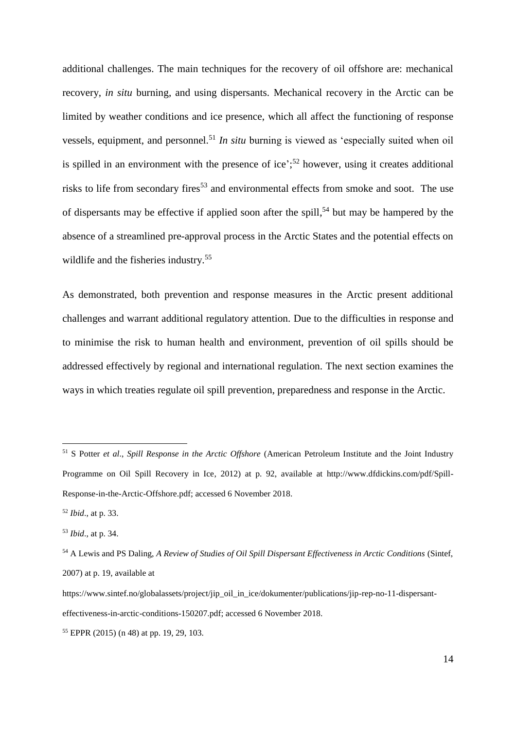additional challenges. The main techniques for the recovery of oil offshore are: mechanical recovery, *in situ* burning, and using dispersants. Mechanical recovery in the Arctic can be limited by weather conditions and ice presence, which all affect the functioning of response vessels, equipment, and personnel.<sup>51</sup> *In situ* burning is viewed as 'especially suited when oil is spilled in an environment with the presence of ice';<sup>52</sup> however, using it creates additional risks to life from secondary fires<sup>53</sup> and environmental effects from smoke and soot. The use of dispersants may be effective if applied soon after the spill, <sup>54</sup> but may be hampered by the absence of a streamlined pre-approval process in the Arctic States and the potential effects on wildlife and the fisheries industry.<sup>55</sup>

As demonstrated, both prevention and response measures in the Arctic present additional challenges and warrant additional regulatory attention. Due to the difficulties in response and to minimise the risk to human health and environment, prevention of oil spills should be addressed effectively by regional and international regulation. The next section examines the ways in which treaties regulate oil spill prevention, preparedness and response in the Arctic.

<sup>51</sup> S Potter *et al*., *Spill Response in the Arctic Offshore* (American Petroleum Institute and the Joint Industry Programme on Oil Spill Recovery in Ice, 2012) at p. 92, available at http://www.dfdickins.com/pdf/Spill-Response-in-the-Arctic-Offshore.pdf; accessed 6 November 2018.

<sup>52</sup> *Ibid*., at p. 33.

<sup>53</sup> *Ibid*., at p. 34.

<sup>54</sup> A Lewis and PS Daling, *A Review of Studies of Oil Spill Dispersant Effectiveness in Arctic Conditions* (Sintef, 2007) at p. 19, available at

https://www.sintef.no/globalassets/project/jip\_oil\_in\_ice/dokumenter/publications/jip-rep-no-11-dispersanteffectiveness-in-arctic-conditions-150207.pdf; accessed 6 November 2018.

<sup>55</sup> EPPR (2015) (n 48) at pp. 19, 29, 103.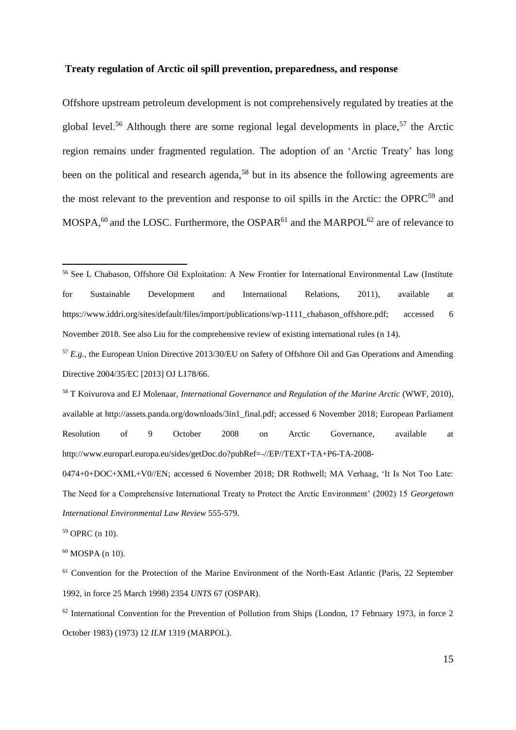### **Treaty regulation of Arctic oil spill prevention, preparedness, and response**

Offshore upstream petroleum development is not comprehensively regulated by treaties at the global level.<sup>56</sup> Although there are some regional legal developments in place,<sup>57</sup> the Arctic region remains under fragmented regulation. The adoption of an 'Arctic Treaty' has long been on the political and research agenda,<sup>58</sup> but in its absence the following agreements are the most relevant to the prevention and response to oil spills in the Arctic: the OPRC<sup>59</sup> and MOSPA,<sup>60</sup> and the LOSC. Furthermore, the OSPAR<sup>61</sup> and the MARPOL<sup>62</sup> are of relevance to

<sup>59</sup> OPRC (n 10).

1

 $60$  MOSPA (n 10).

<sup>61</sup> Convention for the Protection of the Marine Environment of the North-East Atlantic (Paris, 22 September 1992, in force 25 March 1998) 2354 *UNTS* 67 (OSPAR).

<sup>56</sup> See L Chabason, Offshore Oil Exploitation: A New Frontier for International Environmental Law (Institute for Sustainable Development and International Relations, 2011), available at https://www.iddri.org/sites/default/files/import/publications/wp-1111\_chabason\_offshore.pdf; accessed 6 November 2018. See also Liu for the comprehensive review of existing international rules (n 14).

<sup>57</sup> *E.g.,* the European Union Directive 2013/30/EU on Safety of Offshore Oil and Gas Operations and Amending Directive 2004/35/EC [2013] OJ L178/66.

<sup>58</sup> T Koivurova and EJ Molenaar, *International Governance and Regulation of the Marine Arctic* (WWF, 2010), available at http://assets.panda.org/downloads/3in1\_final.pdf; accessed 6 November 2018; European Parliament Resolution of 9 October 2008 on Arctic Governance, available at http://www.europarl.europa.eu/sides/getDoc.do?pubRef=-//EP//TEXT+TA+P6-TA-2008-

<sup>0474+0+</sup>DOC+XML+V0//EN; accessed 6 November 2018; DR Rothwell; MA Verhaag, 'It Is Not Too Late: The Need for a Comprehensive International Treaty to Protect the Arctic Environment' (2002) 15 *Georgetown International Environmental Law Review* 555-579.

 $62$  International Convention for the Prevention of Pollution from Ships (London, 17 February 1973, in force 2 October 1983) (1973) 12 *ILM* 1319 (MARPOL).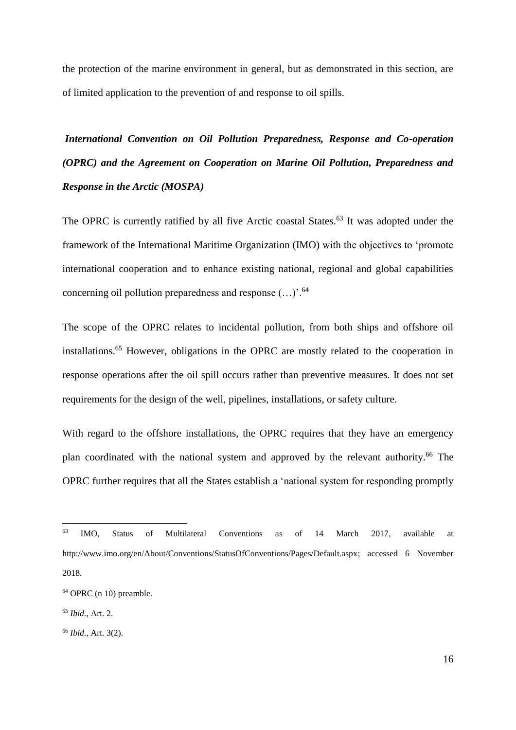the protection of the marine environment in general, but as demonstrated in this section, are of limited application to the prevention of and response to oil spills.

*International Convention on Oil Pollution Preparedness, Response and Co-operation (OPRC) and the Agreement on Cooperation on Marine Oil Pollution, Preparedness and Response in the Arctic (MOSPA)*

The OPRC is currently ratified by all five Arctic coastal States.<sup>63</sup> It was adopted under the framework of the International Maritime Organization (IMO) with the objectives to 'promote international cooperation and to enhance existing national, regional and global capabilities concerning oil pollution preparedness and response  $(...)$ <sup>.64</sup>

The scope of the OPRC relates to incidental pollution, from both ships and offshore oil installations.<sup>65</sup> However, obligations in the OPRC are mostly related to the cooperation in response operations after the oil spill occurs rather than preventive measures. It does not set requirements for the design of the well, pipelines, installations, or safety culture.

With regard to the offshore installations, the OPRC requires that they have an emergency plan coordinated with the national system and approved by the relevant authority.<sup>66</sup> The OPRC further requires that all the States establish a 'national system for responding promptly

<sup>63</sup> IMO, Status of Multilateral Conventions as of 14 March 2017, available at http://www.imo.org/en/About/Conventions/StatusOfConventions/Pages/Default.aspx; accessed 6 November 2018.

<sup>64</sup> OPRC (n 10) preamble.

<sup>65</sup> *Ibid*., Art. 2.

<sup>66</sup> *Ibid*., Art. 3(2).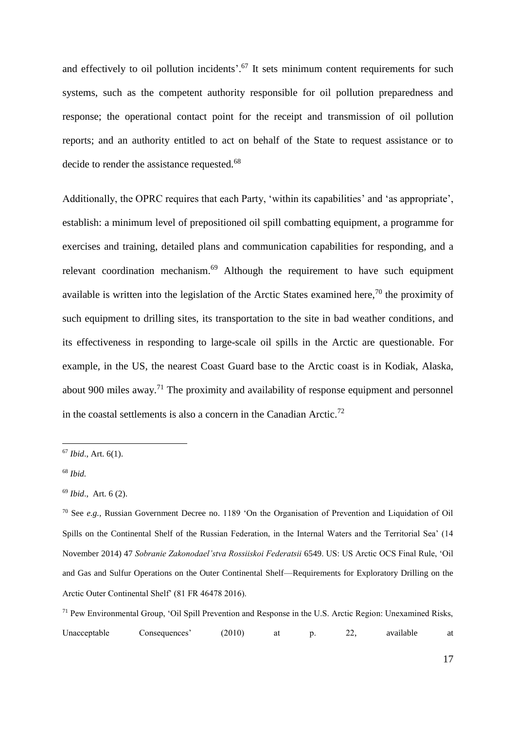and effectively to oil pollution incidents'.<sup>67</sup> It sets minimum content requirements for such systems, such as the competent authority responsible for oil pollution preparedness and response; the operational contact point for the receipt and transmission of oil pollution reports; and an authority entitled to act on behalf of the State to request assistance or to decide to render the assistance requested.<sup>68</sup>

Additionally, the OPRC requires that each Party, 'within its capabilities' and 'as appropriate', establish: a minimum level of prepositioned oil spill combatting equipment, a programme for exercises and training, detailed plans and communication capabilities for responding, and a relevant coordination mechanism.<sup>69</sup> Although the requirement to have such equipment available is written into the legislation of the Arctic States examined here,<sup>70</sup> the proximity of such equipment to drilling sites, its transportation to the site in bad weather conditions, and its effectiveness in responding to large-scale oil spills in the Arctic are questionable. For example, in the US, the nearest Coast Guard base to the Arctic coast is in Kodiak, Alaska, about 900 miles away.<sup>71</sup> The proximity and availability of response equipment and personnel in the coastal settlements is also a concern in the Canadian Arctic.<sup>72</sup>

<sup>67</sup> *Ibid*., Art. 6(1).

<sup>68</sup> *Ibid.*

<sup>69</sup> *Ibid*., Art. 6 (2).

<sup>70</sup> See *e.g.,* Russian Government Decree no. 1189 'On the Organisation of Prevention and Liquidation of Oil Spills on the Continental Shelf of the Russian Federation, in the Internal Waters and the Territorial Sea' (14 November 2014) 47 *Sobranie Zakonodael'stva Rossiiskoi Federatsii* 6549. US: US Arctic OCS Final Rule, 'Oil and Gas and Sulfur Operations on the Outer Continental Shelf—Requirements for Exploratory Drilling on the Arctic Outer Continental Shelf' (81 FR 46478 2016).

<sup>71</sup> Pew Environmental Group, 'Oil Spill Prevention and Response in the U.S. Arctic Region: Unexamined Risks, Unacceptable Consequences' (2010) at p. 22, available at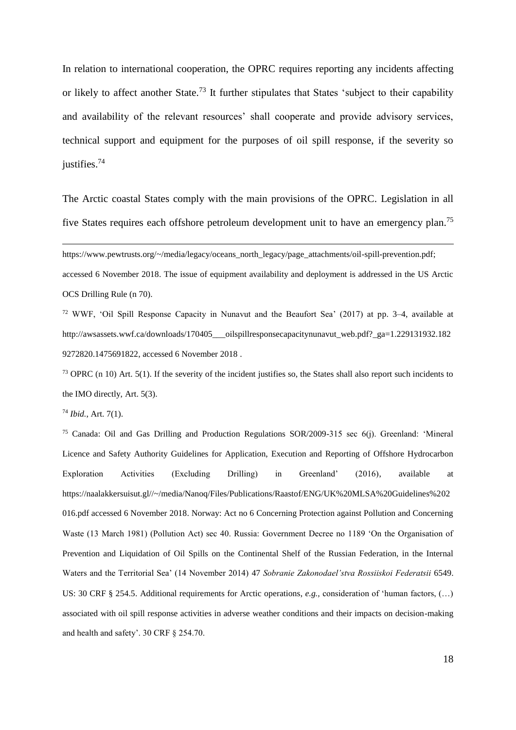In relation to international cooperation, the OPRC requires reporting any incidents affecting or likely to affect another State.<sup>73</sup> It further stipulates that States 'subject to their capability and availability of the relevant resources' shall cooperate and provide advisory services, technical support and equipment for the purposes of oil spill response, if the severity so justifies.<sup>74</sup>

The Arctic coastal States comply with the main provisions of the OPRC. Legislation in all five States requires each offshore petroleum development unit to have an emergency plan.<sup>75</sup>

https://www.pewtrusts.org/~/media/legacy/oceans\_north\_legacy/page\_attachments/oil-spill-prevention.pdf;

accessed 6 November 2018. The issue of equipment availability and deployment is addressed in the US Arctic OCS Drilling Rule (n 70).

<sup>72</sup> WWF, 'Oil Spill Response Capacity in Nunavut and the Beaufort Sea' (2017) at pp. 3–4, available at http://awsassets.wwf.ca/downloads/170405\_\_\_oilspillresponsecapacitynunavut\_web.pdf?\_ga=1.229131932.182 9272820.1475691822, accessed 6 November 2018 .

 $73$  OPRC (n 10) Art. 5(1). If the severity of the incident justifies so, the States shall also report such incidents to the IMO directly, Art. 5(3).

<sup>74</sup> *Ibid.*, Art. 7(1).

1

<sup>75</sup> Canada: Oil and Gas Drilling and Production Regulations SOR/2009-315 sec 6(j). Greenland: 'Mineral Licence and Safety Authority Guidelines for Application, Execution and Reporting of Offshore Hydrocarbon Exploration Activities (Excluding Drilling) in Greenland' (2016), available at https://naalakkersuisut.gl//~/media/Nanoq/Files/Publications/Raastof/ENG/UK%20MLSA%20Guidelines%202 016.pdf accessed 6 November 2018. Norway: Act no 6 Concerning Protection against Pollution and Concerning Waste (13 March 1981) (Pollution Act) sec 40. Russia: Government Decree no 1189 'On the Organisation of Prevention and Liquidation of Oil Spills on the Continental Shelf of the Russian Federation, in the Internal Waters and the Territorial Sea' (14 November 2014) 47 *Sobranie Zakonodael'stva Rossiiskoi Federatsii* 6549. US: 30 CRF § 254.5. Additional requirements for Arctic operations, *e.g.,* consideration of 'human factors, (…) associated with oil spill response activities in adverse weather conditions and their impacts on decision-making and health and safety'. 30 CRF § 254.70.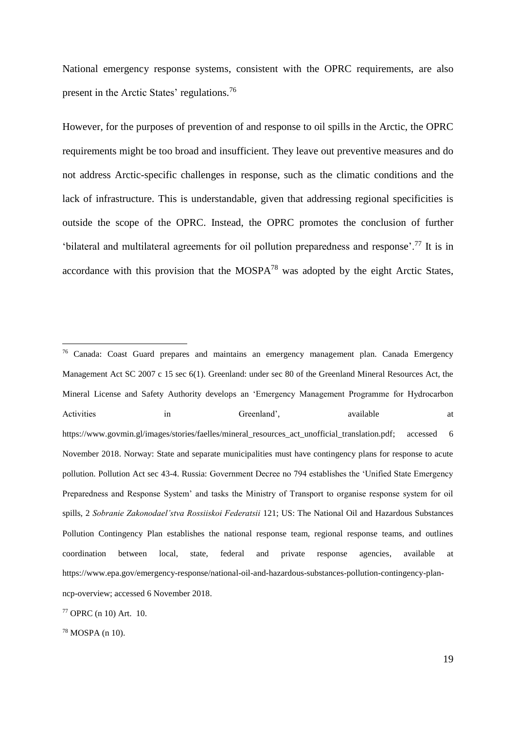National emergency response systems, consistent with the OPRC requirements, are also present in the Arctic States' regulations.<sup>76</sup>

However, for the purposes of prevention of and response to oil spills in the Arctic, the OPRC requirements might be too broad and insufficient. They leave out preventive measures and do not address Arctic-specific challenges in response, such as the climatic conditions and the lack of infrastructure. This is understandable, given that addressing regional specificities is outside the scope of the OPRC. Instead, the OPRC promotes the conclusion of further 'bilateral and multilateral agreements for oil pollution preparedness and response'.<sup>77</sup> It is in accordance with this provision that the  $MOSPA^{78}$  was adopted by the eight Arctic States,

<u>.</u>

<sup>76</sup> Canada: Coast Guard prepares and maintains an emergency management plan. Canada Emergency Management Act SC 2007 c 15 sec 6(1). Greenland: under sec 80 of the Greenland Mineral Resources Act, the Mineral License and Safety Authority develops an 'Emergency Management Programme for Hydrocarbon Activities in Greenland', available at a https://www.govmin.gl/images/stories/faelles/mineral\_resources\_act\_unofficial\_translation.pdf; accessed 6 November 2018. Norway: State and separate municipalities must have contingency plans for response to acute pollution. Pollution Act sec 43-4. Russia: Government Decree no 794 establishes the 'Unified State Emergency Preparedness and Response System' and tasks the Ministry of Transport to organise response system for oil spills, 2 *Sobranie Zakonodael'stva Rossiiskoi Federatsii* 121; US: The National Oil and Hazardous Substances Pollution Contingency Plan establishes the national response team, regional response teams, and outlines coordination between local, state, federal and private response agencies, available at https://www.epa.gov/emergency-response/national-oil-and-hazardous-substances-pollution-contingency-planncp-overview; accessed 6 November 2018.

<sup>77</sup> OPRC (n 10) Art. 10.

<sup>78</sup> MOSPA (n 10).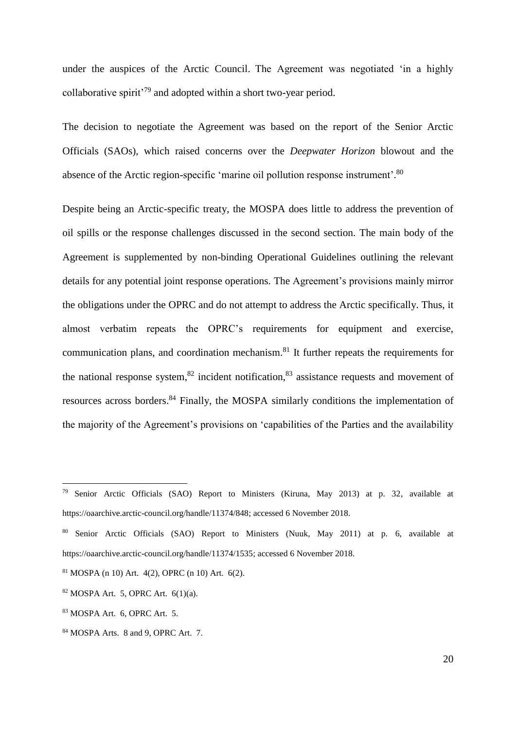under the auspices of the Arctic Council. The Agreement was negotiated 'in a highly collaborative spirit'<sup>79</sup> and adopted within a short two-year period.

The decision to negotiate the Agreement was based on the report of the Senior Arctic Officials (SAOs), which raised concerns over the *Deepwater Horizon* blowout and the absence of the Arctic region-specific 'marine oil pollution response instrument'.<sup>80</sup>

Despite being an Arctic-specific treaty, the MOSPA does little to address the prevention of oil spills or the response challenges discussed in the second section. The main body of the Agreement is supplemented by non-binding Operational Guidelines outlining the relevant details for any potential joint response operations. The Agreement's provisions mainly mirror the obligations under the OPRC and do not attempt to address the Arctic specifically. Thus, it almost verbatim repeats the OPRC's requirements for equipment and exercise, communication plans, and coordination mechanism.<sup>81</sup> It further repeats the requirements for the national response system,  $82$  incident notification,  $83$  assistance requests and movement of resources across borders.<sup>84</sup> Finally, the MOSPA similarly conditions the implementation of the majority of the Agreement's provisions on 'capabilities of the Parties and the availability

<sup>&</sup>lt;sup>79</sup> Senior Arctic Officials (SAO) Report to Ministers (Kiruna, May 2013) at p. 32, available at https://oaarchive.arctic-council.org/handle/11374/848; accessed 6 November 2018.

<sup>80</sup> Senior Arctic Officials (SAO) Report to Ministers (Nuuk, May 2011) at p. 6, available at https://oaarchive.arctic-council.org/handle/11374/1535; accessed 6 November 2018.

<sup>81</sup> MOSPA (n 10) Art. 4(2), OPRC (n 10) Art. 6(2).

 $82$  MOSPA Art. 5, OPRC Art. 6(1)(a).

<sup>83</sup> MOSPA Art. 6, OPRC Art. 5.

<sup>84</sup> MOSPA Arts. 8 and 9, OPRC Art. 7.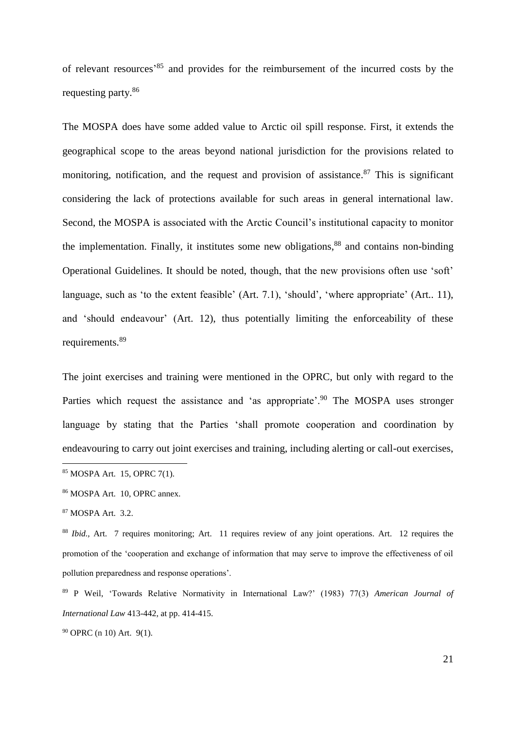of relevant resources' <sup>85</sup> and provides for the reimbursement of the incurred costs by the requesting party.<sup>86</sup>

The MOSPA does have some added value to Arctic oil spill response. First, it extends the geographical scope to the areas beyond national jurisdiction for the provisions related to monitoring, notification, and the request and provision of assistance.<sup>87</sup> This is significant considering the lack of protections available for such areas in general international law. Second, the MOSPA is associated with the Arctic Council's institutional capacity to monitor the implementation. Finally, it institutes some new obligations,<sup>88</sup> and contains non-binding Operational Guidelines. It should be noted, though, that the new provisions often use 'soft' language, such as 'to the extent feasible' (Art. 7.1), 'should', 'where appropriate' (Art. 11), and 'should endeavour' (Art. 12), thus potentially limiting the enforceability of these requirements.<sup>89</sup>

The joint exercises and training were mentioned in the OPRC, but only with regard to the Parties which request the assistance and 'as appropriate'.<sup>90</sup> The MOSPA uses stronger language by stating that the Parties 'shall promote cooperation and coordination by endeavouring to carry out joint exercises and training, including alerting or call-out exercises,

1

<sup>90</sup> OPRC (n 10) Art. 9(1).

<sup>85</sup> MOSPA Art. 15, OPRC 7(1).

<sup>86</sup> MOSPA Art. 10, OPRC annex.

<sup>87</sup> MOSPA Art. 3.2.

<sup>88</sup> *Ibid.,* Art. 7 requires monitoring; Art. 11 requires review of any joint operations. Art. 12 requires the promotion of the 'cooperation and exchange of information that may serve to improve the effectiveness of oil pollution preparedness and response operations'.

<sup>89</sup> P Weil, 'Towards Relative Normativity in International Law?' (1983) 77(3) *American Journal of International Law* 413-442, at pp. 414-415.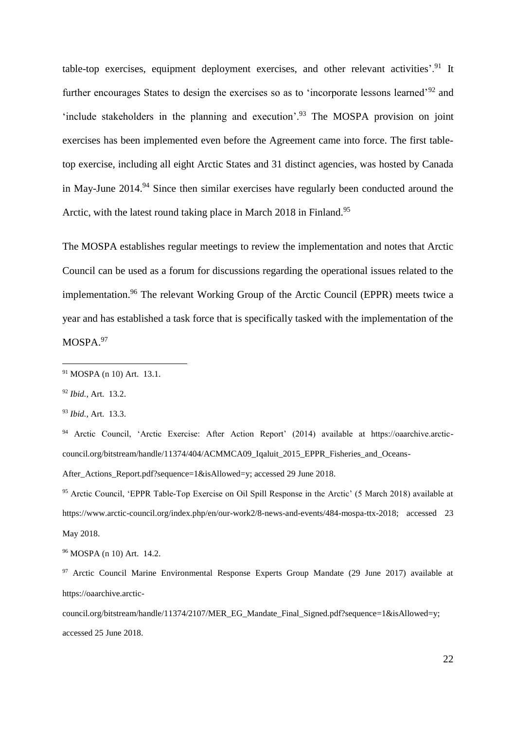table-top exercises, equipment deployment exercises, and other relevant activities'.<sup>91</sup> It further encourages States to design the exercises so as to 'incorporate lessons learned'<sup>92</sup> and 'include stakeholders in the planning and execution'.<sup>93</sup> The MOSPA provision on joint exercises has been implemented even before the Agreement came into force. The first tabletop exercise, including all eight Arctic States and 31 distinct agencies, was hosted by Canada in May-June  $2014<sup>94</sup>$  Since then similar exercises have regularly been conducted around the Arctic, with the latest round taking place in March 2018 in Finland.<sup>95</sup>

The MOSPA establishes regular meetings to review the implementation and notes that Arctic Council can be used as a forum for discussions regarding the operational issues related to the implementation.<sup>96</sup> The relevant Working Group of the Arctic Council (EPPR) meets twice a year and has established a task force that is specifically tasked with the implementation of the MOSPA.97

<sup>92</sup> *Ibid.,* Art. 13.2.

1

<sup>93</sup> *Ibid.,* Art. 13.3.

<sup>94</sup> Arctic Council, 'Arctic Exercise: After Action Report' (2014) available at https://oaarchive.arcticcouncil.org/bitstream/handle/11374/404/ACMMCA09\_Iqaluit\_2015\_EPPR\_Fisheries\_and\_Oceans-

After\_Actions\_Report.pdf?sequence=1&isAllowed=y; accessed 29 June 2018.

<sup>95</sup> Arctic Council, 'EPPR Table-Top Exercise on Oil Spill Response in the Arctic' (5 March 2018) available at https://www.arctic-council.org/index.php/en/our-work2/8-news-and-events/484-mospa-ttx-2018; accessed 23 May 2018.

<sup>96</sup> MOSPA (n 10) Art. 14.2.

council.org/bitstream/handle/11374/2107/MER\_EG\_Mandate\_Final\_Signed.pdf?sequence=1&isAllowed=v: accessed 25 June 2018.

<sup>91</sup> MOSPA (n 10) Art. 13.1.

<sup>&</sup>lt;sup>97</sup> Arctic Council Marine Environmental Response Experts Group Mandate (29 June 2017) available at https://oaarchive.arctic-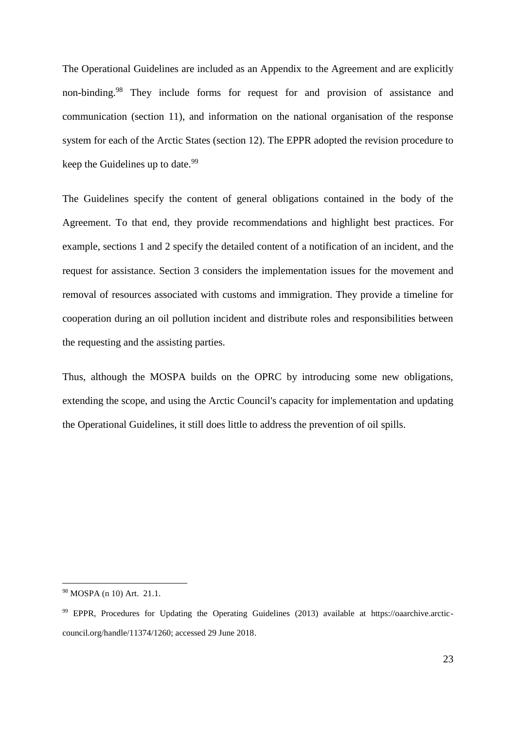The Operational Guidelines are included as an Appendix to the Agreement and are explicitly non-binding.<sup>98</sup> They include forms for request for and provision of assistance and communication (section 11), and information on the national organisation of the response system for each of the Arctic States (section 12). The EPPR adopted the revision procedure to keep the Guidelines up to date.<sup>99</sup>

The Guidelines specify the content of general obligations contained in the body of the Agreement. To that end, they provide recommendations and highlight best practices. For example, sections 1 and 2 specify the detailed content of a notification of an incident, and the request for assistance. Section 3 considers the implementation issues for the movement and removal of resources associated with customs and immigration. They provide a timeline for cooperation during an oil pollution incident and distribute roles and responsibilities between the requesting and the assisting parties.

Thus, although the MOSPA builds on the OPRC by introducing some new obligations, extending the scope, and using the Arctic Council's capacity for implementation and updating the Operational Guidelines, it still does little to address the prevention of oil spills.

<sup>98</sup> MOSPA (n 10) Art. 21.1.

<sup>99</sup> EPPR, Procedures for Updating the Operating Guidelines (2013) available at https://oaarchive.arcticcouncil.org/handle/11374/1260; accessed 29 June 2018.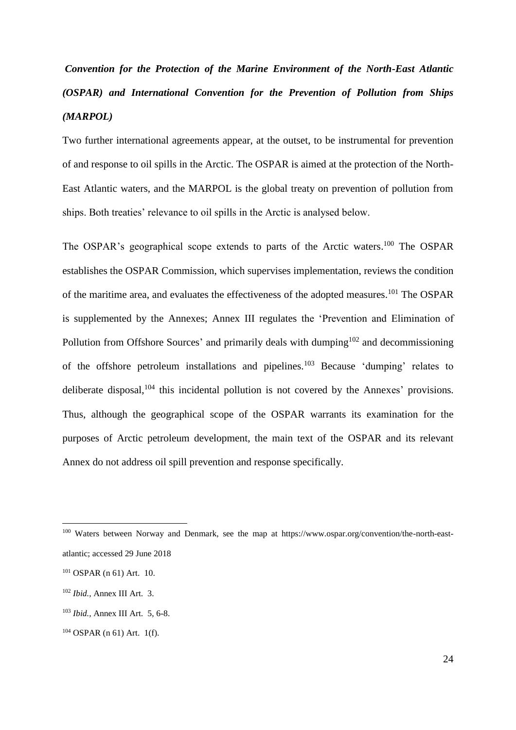## *Convention for the Protection of the Marine Environment of the North-East Atlantic (OSPAR) and International Convention for the Prevention of Pollution from Ships (MARPOL)*

Two further international agreements appear, at the outset, to be instrumental for prevention of and response to oil spills in the Arctic. The OSPAR is aimed at the protection of the North-East Atlantic waters, and the MARPOL is the global treaty on prevention of pollution from ships. Both treaties' relevance to oil spills in the Arctic is analysed below.

The OSPAR's geographical scope extends to parts of the Arctic waters.<sup>100</sup> The OSPAR establishes the OSPAR Commission, which supervises implementation, reviews the condition of the maritime area, and evaluates the effectiveness of the adopted measures.<sup>101</sup> The OSPAR is supplemented by the Annexes; Annex III regulates the 'Prevention and Elimination of Pollution from Offshore Sources' and primarily deals with dumping<sup>102</sup> and decommissioning of the offshore petroleum installations and pipelines.<sup>103</sup> Because 'dumping' relates to deliberate disposal,<sup>104</sup> this incidental pollution is not covered by the Annexes' provisions. Thus, although the geographical scope of the OSPAR warrants its examination for the purposes of Arctic petroleum development, the main text of the OSPAR and its relevant Annex do not address oil spill prevention and response specifically.

<sup>100</sup> Waters between Norway and Denmark, see the map at https://www.ospar.org/convention/the-north-eastatlantic; accessed 29 June 2018

<sup>101</sup> OSPAR (n 61) Art. 10.

<sup>102</sup> *Ibid.,* Annex III Art. 3.

<sup>103</sup> *Ibid.,* Annex III Art. 5, 6-8.

<sup>104</sup> OSPAR (n 61) Art. 1(f).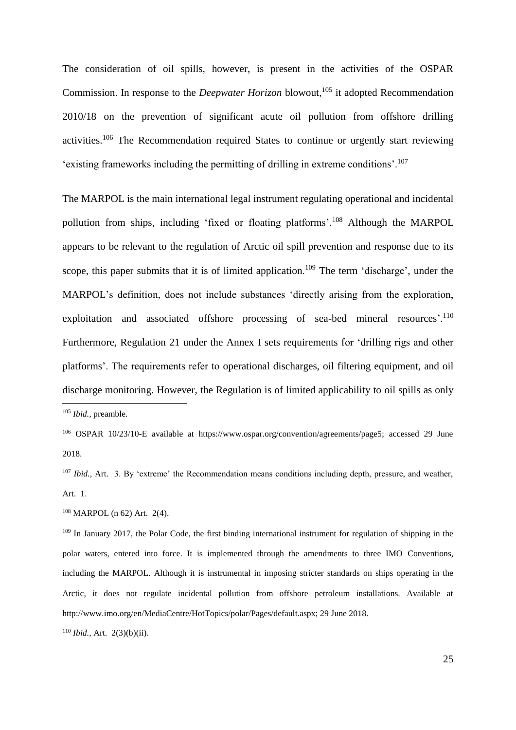The consideration of oil spills, however, is present in the activities of the OSPAR Commission. In response to the *Deepwater Horizon* blowout, <sup>105</sup> it adopted Recommendation 2010/18 on the prevention of significant acute oil pollution from offshore drilling activities.<sup>106</sup> The Recommendation required States to continue or urgently start reviewing 'existing frameworks including the permitting of drilling in extreme conditions'.<sup>107</sup>

The MARPOL is the main international legal instrument regulating operational and incidental pollution from ships, including 'fixed or floating platforms'.<sup>108</sup> Although the MARPOL appears to be relevant to the regulation of Arctic oil spill prevention and response due to its scope, this paper submits that it is of limited application.<sup>109</sup> The term 'discharge', under the MARPOL's definition, does not include substances 'directly arising from the exploration, exploitation and associated offshore processing of sea-bed mineral resources'.<sup>110</sup> Furthermore, Regulation 21 under the Annex I sets requirements for 'drilling rigs and other platforms'. The requirements refer to operational discharges, oil filtering equipment, and oil discharge monitoring. However, the Regulation is of limited applicability to oil spills as only <u>.</u>

<sup>108</sup> MARPOL (n 62) Art. 2(4).

<sup>105</sup> *Ibid.,* preamble.

<sup>106</sup> OSPAR 10/23/10-E available at https://www.ospar.org/convention/agreements/page5; accessed 29 June 2018.

<sup>&</sup>lt;sup>107</sup> *Ibid.*, Art. 3. By 'extreme' the Recommendation means conditions including depth, pressure, and weather, Art. 1.

<sup>&</sup>lt;sup>109</sup> In January 2017, the Polar Code, the first binding international instrument for regulation of shipping in the polar waters, entered into force. It is implemented through the amendments to three IMO Conventions, including the MARPOL. Although it is instrumental in imposing stricter standards on ships operating in the Arctic, it does not regulate incidental pollution from offshore petroleum installations. Available at http://www.imo.org/en/MediaCentre/HotTopics/polar/Pages/default.aspx; 29 June 2018.

<sup>110</sup> *Ibid.,* Art. 2(3)(b)(ii).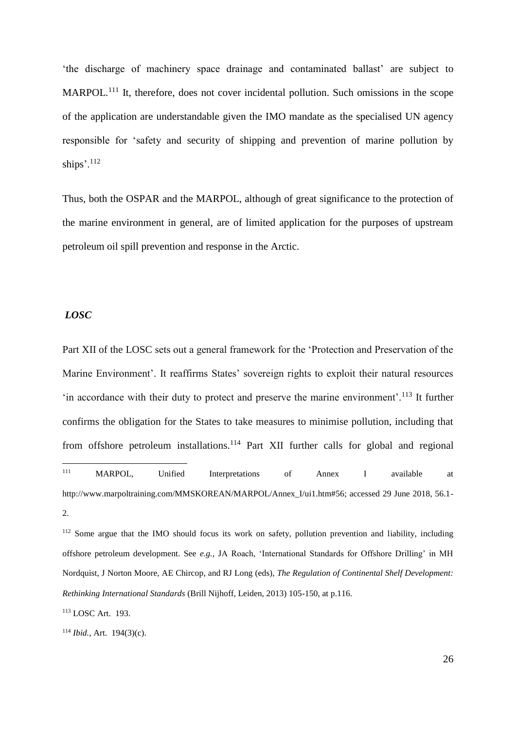'the discharge of machinery space drainage and contaminated ballast' are subject to MARPOL.<sup>111</sup> It, therefore, does not cover incidental pollution. Such omissions in the scope of the application are understandable given the IMO mandate as the specialised UN agency responsible for 'safety and security of shipping and prevention of marine pollution by ships'.<sup>112</sup>

Thus, both the OSPAR and the MARPOL, although of great significance to the protection of the marine environment in general, are of limited application for the purposes of upstream petroleum oil spill prevention and response in the Arctic.

#### *LOSC*

Part XII of the LOSC sets out a general framework for the 'Protection and Preservation of the Marine Environment'. It reaffirms States' sovereign rights to exploit their natural resources 'in accordance with their duty to protect and preserve the marine environment'.<sup>113</sup> It further confirms the obligation for the States to take measures to minimise pollution, including that from offshore petroleum installations.<sup>114</sup> Part XII further calls for global and regional  $111$ MARPOL, Unified Interpretations of Annex I available at

http://www.marpoltraining.com/MMSKOREAN/MARPOL/Annex\_I/ui1.htm#56; accessed 29 June 2018, 56.1- 2.

<sup>112</sup> Some argue that the IMO should focus its work on safety, pollution prevention and liability, including offshore petroleum development. See *e.g.,* JA Roach, 'International Standards for Offshore Drilling' in MH Nordquist, J Norton Moore, AE Chircop, and RJ Long (eds), *The Regulation of Continental Shelf Development: Rethinking International Standards* (Brill Nijhoff, Leiden, 2013) 105-150, at p.116.

<sup>113</sup> LOSC Art. 193.

<sup>114</sup> *Ibid.,* Art. 194(3)(c).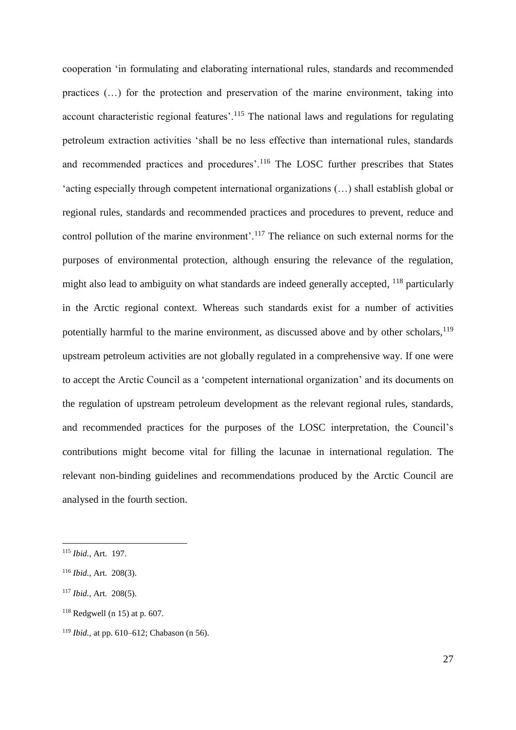cooperation 'in formulating and elaborating international rules, standards and recommended practices (…) for the protection and preservation of the marine environment, taking into account characteristic regional features'.<sup>115</sup> The national laws and regulations for regulating petroleum extraction activities 'shall be no less effective than international rules, standards and recommended practices and procedures'.<sup>116</sup> The LOSC further prescribes that States 'acting especially through competent international organizations (…) shall establish global or regional rules, standards and recommended practices and procedures to prevent, reduce and control pollution of the marine environment'.<sup>117</sup> The reliance on such external norms for the purposes of environmental protection, although ensuring the relevance of the regulation, might also lead to ambiguity on what standards are indeed generally accepted, <sup>118</sup> particularly in the Arctic regional context. Whereas such standards exist for a number of activities potentially harmful to the marine environment, as discussed above and by other scholars, $119$ upstream petroleum activities are not globally regulated in a comprehensive way. If one were to accept the Arctic Council as a 'competent international organization' and its documents on the regulation of upstream petroleum development as the relevant regional rules, standards, and recommended practices for the purposes of the LOSC interpretation, the Council's contributions might become vital for filling the lacunae in international regulation. The relevant non-binding guidelines and recommendations produced by the Arctic Council are analysed in the fourth section.

<sup>115</sup> *Ibid.,* Art. 197.

<sup>116</sup> *Ibid.,* Art. 208(3).

<sup>117</sup> *Ibid.,* Art. 208(5).

 $118$  Redgwell (n 15) at p. 607.

<sup>119</sup> *Ibid.,* at pp. 610–612; Chabason (n 56).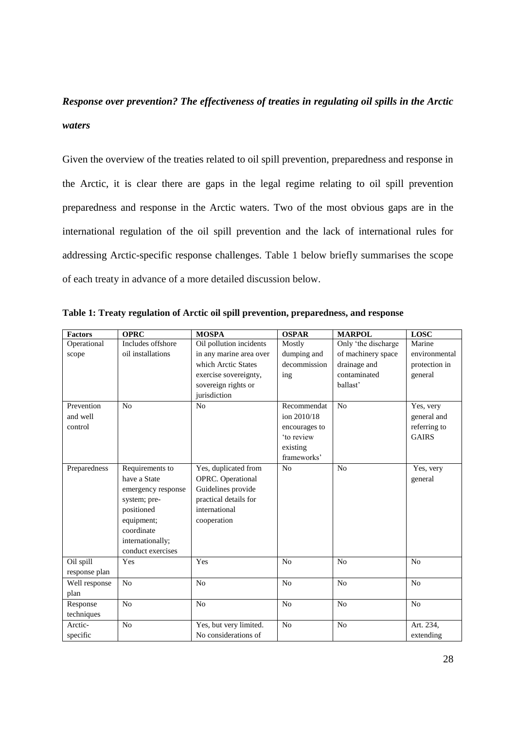### *Response over prevention? The effectiveness of treaties in regulating oil spills in the Arctic waters*

Given the overview of the treaties related to oil spill prevention, preparedness and response in the Arctic, it is clear there are gaps in the legal regime relating to oil spill prevention preparedness and response in the Arctic waters. Two of the most obvious gaps are in the international regulation of the oil spill prevention and the lack of international rules for addressing Arctic-specific response challenges. Table 1 below briefly summarises the scope of each treaty in advance of a more detailed discussion below.

| <b>Factors</b> | <b>OPRC</b>        | <b>MOSPA</b>            | <b>OSPAR</b>   | <b>MARPOL</b>       | <b>LOSC</b>    |
|----------------|--------------------|-------------------------|----------------|---------------------|----------------|
| Operational    | Includes offshore  | Oil pollution incidents | Mostly         | Only 'the discharge | Marine         |
| scope          | oil installations  | in any marine area over | dumping and    | of machinery space  | environmental  |
|                |                    | which Arctic States     | decommission   | drainage and        | protection in  |
|                |                    | exercise sovereignty,   | ing            | contaminated        | general        |
|                |                    | sovereign rights or     |                | ballast'            |                |
|                |                    | jurisdiction            |                |                     |                |
| Prevention     | N <sub>o</sub>     | No                      | Recommendat    | N <sub>o</sub>      | Yes, very      |
| and well       |                    |                         | ion 2010/18    |                     | general and    |
| control        |                    |                         | encourages to  |                     | referring to   |
|                |                    |                         | 'to review     |                     | <b>GAIRS</b>   |
|                |                    |                         | existing       |                     |                |
|                |                    |                         | frameworks'    |                     |                |
| Preparedness   | Requirements to    | Yes, duplicated from    | No             | N <sub>o</sub>      | Yes, very      |
|                | have a State       | OPRC. Operational       |                |                     | general        |
|                | emergency response | Guidelines provide      |                |                     |                |
|                | system; pre-       | practical details for   |                |                     |                |
|                | positioned         | international           |                |                     |                |
|                | equipment;         | cooperation             |                |                     |                |
|                | coordinate         |                         |                |                     |                |
|                | internationally;   |                         |                |                     |                |
|                | conduct exercises  |                         |                |                     |                |
| Oil spill      | Yes                | Yes                     | N <sub>0</sub> | No                  | N <sub>0</sub> |
| response plan  |                    |                         |                |                     |                |
| Well response  | N <sub>o</sub>     | N <sub>o</sub>          | N <sub>o</sub> | N <sub>o</sub>      | N <sub>o</sub> |
| plan           |                    |                         |                |                     |                |
| Response       | N <sub>o</sub>     | N <sub>o</sub>          | N <sub>o</sub> | N <sub>o</sub>      | N <sub>o</sub> |
| techniques     |                    |                         |                |                     |                |
| Arctic-        | N <sub>o</sub>     | Yes, but very limited.  | No             | N <sub>o</sub>      | Art. 234,      |
| specific       |                    | No considerations of    |                |                     | extending      |

**Table 1: Treaty regulation of Arctic oil spill prevention, preparedness, and response**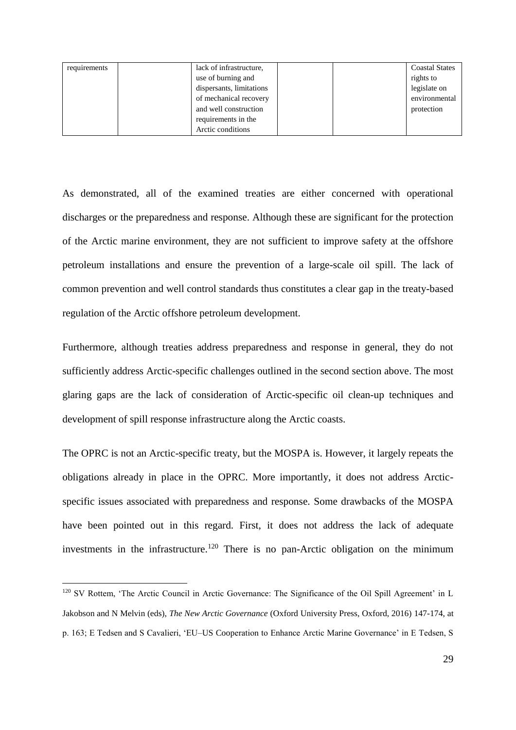| requirements | lack of infrastructure,  |  | <b>Coastal States</b> |
|--------------|--------------------------|--|-----------------------|
|              | use of burning and       |  | rights to             |
|              | dispersants, limitations |  | legislate on          |
|              | of mechanical recovery   |  | environmental         |
|              | and well construction    |  | protection            |
|              | requirements in the      |  |                       |
|              | Arctic conditions        |  |                       |

As demonstrated, all of the examined treaties are either concerned with operational discharges or the preparedness and response. Although these are significant for the protection of the Arctic marine environment, they are not sufficient to improve safety at the offshore petroleum installations and ensure the prevention of a large-scale oil spill. The lack of common prevention and well control standards thus constitutes a clear gap in the treaty-based regulation of the Arctic offshore petroleum development.

Furthermore, although treaties address preparedness and response in general, they do not sufficiently address Arctic-specific challenges outlined in the second section above. The most glaring gaps are the lack of consideration of Arctic-specific oil clean-up techniques and development of spill response infrastructure along the Arctic coasts.

The OPRC is not an Arctic-specific treaty, but the MOSPA is. However, it largely repeats the obligations already in place in the OPRC. More importantly, it does not address Arcticspecific issues associated with preparedness and response. Some drawbacks of the MOSPA have been pointed out in this regard. First, it does not address the lack of adequate investments in the infrastructure.<sup>120</sup> There is no pan-Arctic obligation on the minimum

<sup>120</sup> SV Rottem, 'The Arctic Council in Arctic Governance: The Significance of the Oil Spill Agreement' in L Jakobson and N Melvin (eds), *The New Arctic Governance* (Oxford University Press, Oxford, 2016) 147-174, at p. 163; E Tedsen and S Cavalieri, 'EU–US Cooperation to Enhance Arctic Marine Governance' in E Tedsen, S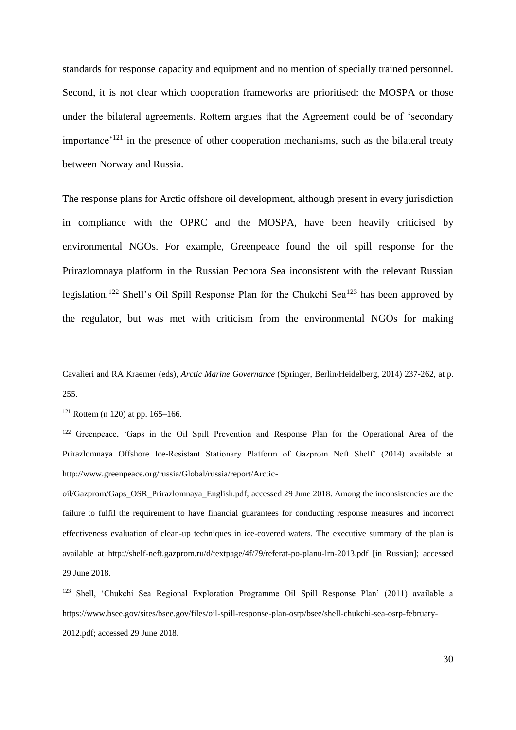standards for response capacity and equipment and no mention of specially trained personnel. Second, it is not clear which cooperation frameworks are prioritised: the MOSPA or those under the bilateral agreements. Rottem argues that the Agreement could be of 'secondary importance<sup> $121$ </sup> in the presence of other cooperation mechanisms, such as the bilateral treaty between Norway and Russia.

The response plans for Arctic offshore oil development, although present in every jurisdiction in compliance with the OPRC and the MOSPA, have been heavily criticised by environmental NGOs. For example, Greenpeace found the oil spill response for the Prirazlomnaya platform in the Russian Pechora Sea inconsistent with the relevant Russian legislation.<sup>122</sup> Shell's Oil Spill Response Plan for the Chukchi Sea<sup>123</sup> has been approved by the regulator, but was met with criticism from the environmental NGOs for making

 $121$  Rottem (n 120) at pp. 165–166.

1

<sup>122</sup> Greenpeace, 'Gaps in the Oil Spill Prevention and Response Plan for the Operational Area of the Prirazlomnaya Offshore Ice-Resistant Stationary Platform of Gazprom Neft Shelf' (2014) available at http://www.greenpeace.org/russia/Global/russia/report/Arctic-

oil/Gazprom/Gaps\_OSR\_Prirazlomnaya\_English.pdf; accessed 29 June 2018. Among the inconsistencies are the failure to fulfil the requirement to have financial guarantees for conducting response measures and incorrect effectiveness evaluation of clean-up techniques in ice-covered waters. The executive summary of the plan is available at http://shelf-neft.gazprom.ru/d/textpage/4f/79/referat-po-planu-lrn-2013.pdf [in Russian]; accessed 29 June 2018.

Cavalieri and RA Kraemer (eds), *Arctic Marine Governance* (Springer, Berlin/Heidelberg, 2014) 237-262, at p. 255.

<sup>123</sup> Shell, 'Chukchi Sea Regional Exploration Programme Oil Spill Response Plan' (2011) available a https://www.bsee.gov/sites/bsee.gov/files/oil-spill-response-plan-osrp/bsee/shell-chukchi-sea-osrp-february-2012.pdf; accessed 29 June 2018.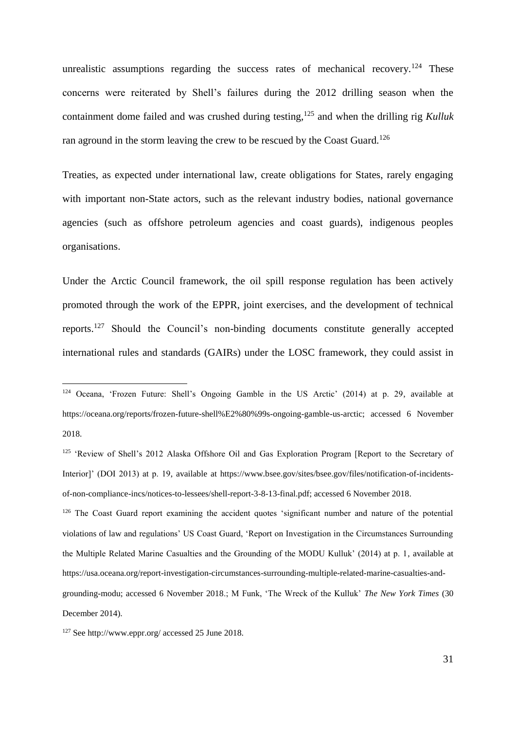unrealistic assumptions regarding the success rates of mechanical recovery.<sup>124</sup> These concerns were reiterated by Shell's failures during the 2012 drilling season when the containment dome failed and was crushed during testing,<sup>125</sup> and when the drilling rig *Kulluk* ran aground in the storm leaving the crew to be rescued by the Coast Guard.<sup>126</sup>

Treaties, as expected under international law, create obligations for States, rarely engaging with important non-State actors, such as the relevant industry bodies, national governance agencies (such as offshore petroleum agencies and coast guards), indigenous peoples organisations.

Under the Arctic Council framework, the oil spill response regulation has been actively promoted through the work of the EPPR, joint exercises, and the development of technical reports.<sup>127</sup> Should the Council's non-binding documents constitute generally accepted international rules and standards (GAIRs) under the LOSC framework, they could assist in

<sup>126</sup> The Coast Guard report examining the accident quotes 'significant number and nature of the potential violations of law and regulations' US Coast Guard, 'Report on Investigation in the Circumstances Surrounding the Multiple Related Marine Casualties and the Grounding of the MODU Kulluk' (2014) at p. 1, available at https://usa.oceana.org/report-investigation-circumstances-surrounding-multiple-related-marine-casualties-and-

<sup>124</sup> Oceana, 'Frozen Future: Shell's Ongoing Gamble in the US Arctic' (2014) at p. 29, available at https://oceana.org/reports/frozen-future-shell%E2%80%99s-ongoing-gamble-us-arctic; accessed 6 November 2018.

<sup>&</sup>lt;sup>125</sup> 'Review of Shell's 2012 Alaska Offshore Oil and Gas Exploration Program [Report to the Secretary of Interior]' (DOI 2013) at p. 19, available at https://www.bsee.gov/sites/bsee.gov/files/notification-of-incidentsof-non-compliance-incs/notices-to-lessees/shell-report-3-8-13-final.pdf; accessed 6 November 2018.

grounding-modu; accessed 6 November 2018.; M Funk, 'The Wreck of the Kulluk' *The New York Times* (30 December 2014).

<sup>127</sup> See http://www.eppr.org/ accessed 25 June 2018.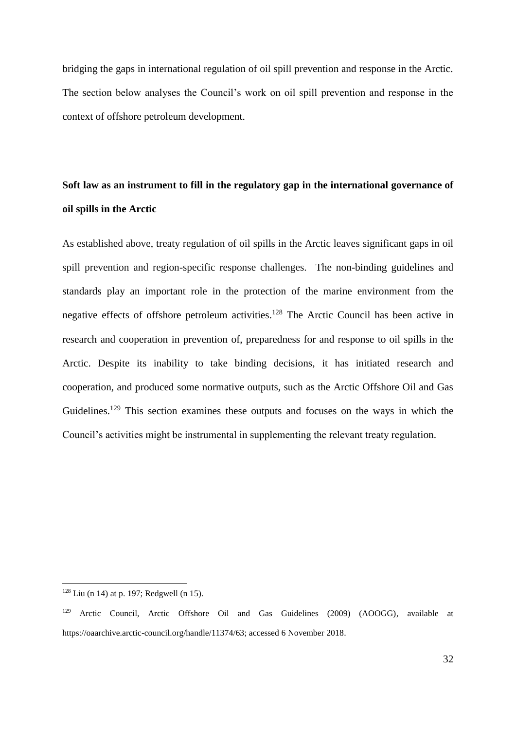bridging the gaps in international regulation of oil spill prevention and response in the Arctic. The section below analyses the Council's work on oil spill prevention and response in the context of offshore petroleum development.

### **Soft law as an instrument to fill in the regulatory gap in the international governance of oil spills in the Arctic**

As established above, treaty regulation of oil spills in the Arctic leaves significant gaps in oil spill prevention and region-specific response challenges. The non-binding guidelines and standards play an important role in the protection of the marine environment from the negative effects of offshore petroleum activities.<sup>128</sup> The Arctic Council has been active in research and cooperation in prevention of, preparedness for and response to oil spills in the Arctic. Despite its inability to take binding decisions, it has initiated research and cooperation, and produced some normative outputs, such as the Arctic Offshore Oil and Gas Guidelines.<sup>129</sup> This section examines these outputs and focuses on the ways in which the Council's activities might be instrumental in supplementing the relevant treaty regulation.

 $128$  Liu (n 14) at p. 197; Redgwell (n 15).

<sup>129</sup> Arctic Council, Arctic Offshore Oil and Gas Guidelines (2009) (AOOGG), available at https://oaarchive.arctic-council.org/handle/11374/63; accessed 6 November 2018.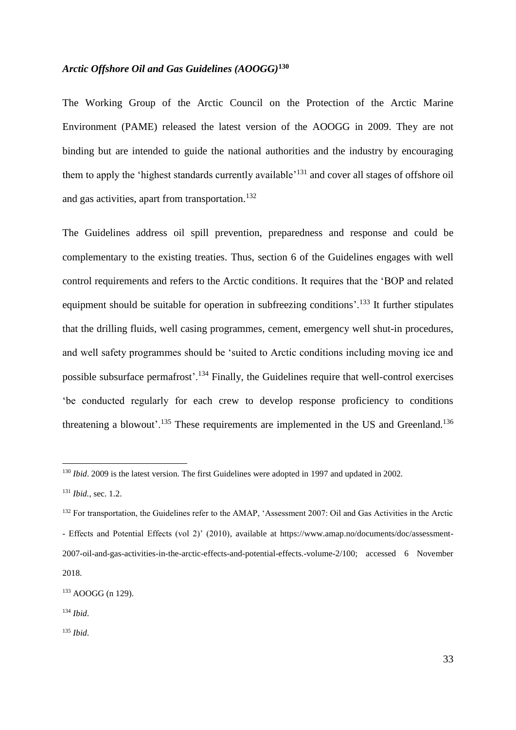### *Arctic Offshore Oil and Gas Guidelines (AOOGG)***<sup>130</sup>**

The Working Group of the Arctic Council on the Protection of the Arctic Marine Environment (PAME) released the latest version of the AOOGG in 2009. They are not binding but are intended to guide the national authorities and the industry by encouraging them to apply the 'highest standards currently available'<sup>131</sup> and cover all stages of offshore oil and gas activities, apart from transportation.<sup>132</sup>

The Guidelines address oil spill prevention, preparedness and response and could be complementary to the existing treaties. Thus, section 6 of the Guidelines engages with well control requirements and refers to the Arctic conditions. It requires that the 'BOP and related equipment should be suitable for operation in subfreezing conditions'.<sup>133</sup> It further stipulates that the drilling fluids, well casing programmes, cement, emergency well shut-in procedures, and well safety programmes should be 'suited to Arctic conditions including moving ice and possible subsurface permafrost'.<sup>134</sup> Finally, the Guidelines require that well-control exercises 'be conducted regularly for each crew to develop response proficiency to conditions threatening a blowout'.<sup>135</sup> These requirements are implemented in the US and Greenland.<sup>136</sup>

<sup>130</sup> *Ibid*. 2009 is the latest version. The first Guidelines were adopted in 1997 and updated in 2002.

<sup>131</sup> *Ibid.,* sec. 1.2.

<sup>&</sup>lt;sup>132</sup> For transportation, the Guidelines refer to the AMAP, 'Assessment 2007; Oil and Gas Activities in the Arctic - Effects and Potential Effects (vol 2)' (2010), available at https://www.amap.no/documents/doc/assessment-2007-oil-and-gas-activities-in-the-arctic-effects-and-potential-effects.-volume-2/100; accessed 6 November 2018.

<sup>133</sup> AOOGG (n 129).

<sup>134</sup> *Ibid*.

<sup>135</sup> *Ibid*.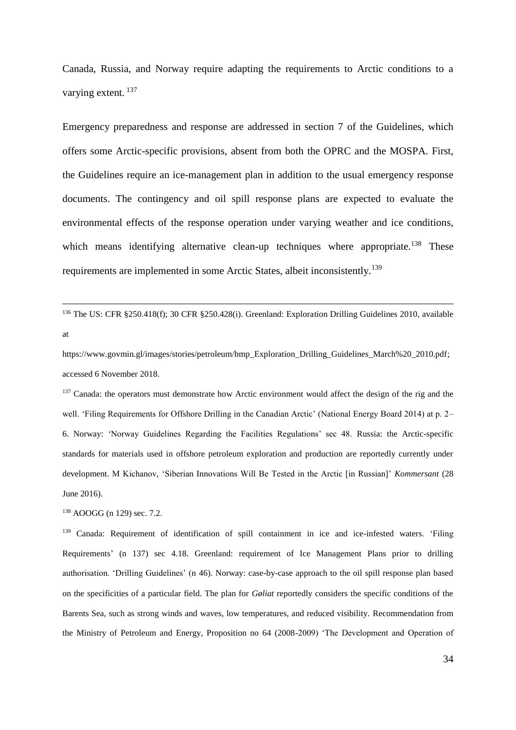Canada, Russia, and Norway require adapting the requirements to Arctic conditions to a varying extent. <sup>137</sup>

Emergency preparedness and response are addressed in section 7 of the Guidelines, which offers some Arctic-specific provisions, absent from both the OPRC and the MOSPA. First, the Guidelines require an ice-management plan in addition to the usual emergency response documents. The contingency and oil spill response plans are expected to evaluate the environmental effects of the response operation under varying weather and ice conditions, which means identifying alternative clean-up techniques where appropriate.<sup>138</sup> These requirements are implemented in some Arctic States, albeit inconsistently.<sup>139</sup>

<sup>136</sup> The US: CFR §250.418(f); 30 CFR §250.428(i). Greenland: Exploration Drilling Guidelines 2010, available at

https://www.govmin.gl/images/stories/petroleum/bmp\_Exploration\_Drilling\_Guidelines\_March%20\_2010.pdf; accessed 6 November 2018.

<sup>137</sup> Canada: the operators must demonstrate how Arctic environment would affect the design of the rig and the well. 'Filing Requirements for Offshore Drilling in the Canadian Arctic' (National Energy Board 2014) at p. 2– 6. Norway: 'Norway Guidelines Regarding the Facilities Regulations' sec 48. Russia: the Arctic-specific standards for materials used in offshore petroleum exploration and production are reportedly currently under development. M Kichanov, 'Siberian Innovations Will Be Tested in the Arctic [in Russian]' *Kommersant* (28 June 2016).

<sup>138</sup> AOOGG (n 129) sec. 7.2.

1

<sup>139</sup> Canada: Requirement of identification of spill containment in ice and ice-infested waters. 'Filing Requirements' (n 137) sec 4.18. Greenland: requirement of Ice Management Plans prior to drilling authorisation. 'Drilling Guidelines' (n 46). Norway: case-by-case approach to the oil spill response plan based on the specificities of a particular field. The plan for *Gøliat* reportedly considers the specific conditions of the Barents Sea, such as strong winds and waves, low temperatures, and reduced visibility. Recommendation from the Ministry of Petroleum and Energy, Proposition no 64 (2008-2009) 'The Development and Operation of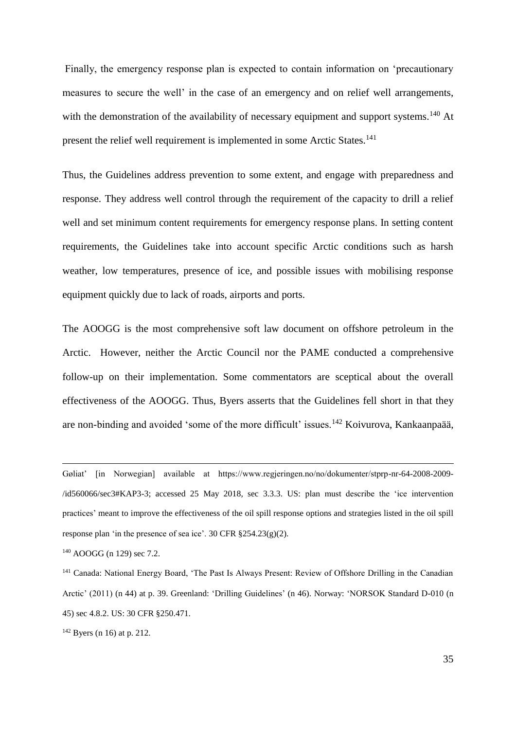Finally, the emergency response plan is expected to contain information on 'precautionary measures to secure the well' in the case of an emergency and on relief well arrangements, with the demonstration of the availability of necessary equipment and support systems.<sup>140</sup> At present the relief well requirement is implemented in some Arctic States.<sup>141</sup>

Thus, the Guidelines address prevention to some extent, and engage with preparedness and response. They address well control through the requirement of the capacity to drill a relief well and set minimum content requirements for emergency response plans. In setting content requirements, the Guidelines take into account specific Arctic conditions such as harsh weather, low temperatures, presence of ice, and possible issues with mobilising response equipment quickly due to lack of roads, airports and ports.

The AOOGG is the most comprehensive soft law document on offshore petroleum in the Arctic. However, neither the Arctic Council nor the PAME conducted a comprehensive follow-up on their implementation. Some commentators are sceptical about the overall effectiveness of the AOOGG. Thus, Byers asserts that the Guidelines fell short in that they are non-binding and avoided 'some of the more difficult' issues.<sup>142</sup> Koivurova, Kankaanpaää,

Gøliat' [in Norwegian] available at https://www.regjeringen.no/no/dokumenter/stprp-nr-64-2008-2009- /id560066/sec3#KAP3-3; accessed 25 May 2018, sec 3.3.3. US: plan must describe the 'ice intervention practices' meant to improve the effectiveness of the oil spill response options and strategies listed in the oil spill response plan 'in the presence of sea ice'. 30 CFR §254.23(g)(2).

<sup>140</sup> AOOGG (n 129) sec 7.2.

1

<sup>141</sup> Canada: National Energy Board, 'The Past Is Always Present: Review of Offshore Drilling in the Canadian Arctic' (2011) (n 44) at p. 39. Greenland: 'Drilling Guidelines' (n 46). Norway: 'NORSOK Standard D-010 (n 45) sec 4.8.2. US: 30 CFR §250.471.

 $142$  Byers (n 16) at p. 212.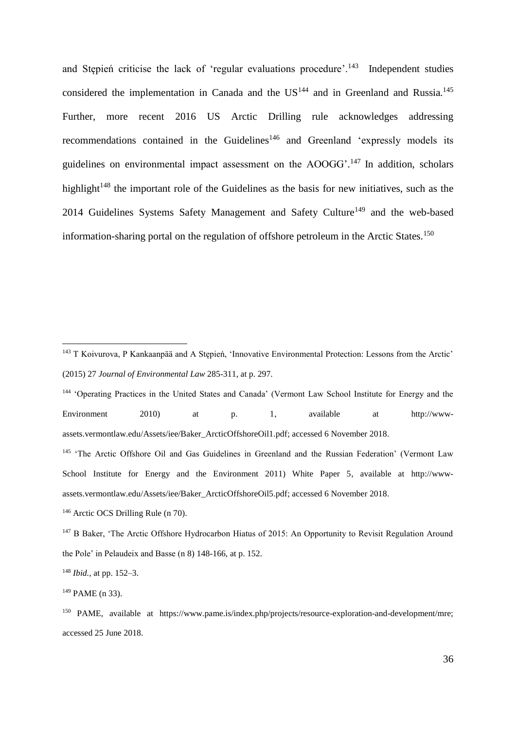and Stępień criticise the lack of 'regular evaluations procedure'.<sup>143</sup> Independent studies considered the implementation in Canada and the  $US^{144}$  and in Greenland and Russia.<sup>145</sup> Further, more recent 2016 US Arctic Drilling rule acknowledges addressing recommendations contained in the Guidelines<sup>146</sup> and Greenland 'expressly models its guidelines on environmental impact assessment on the AOOGG'.<sup>147</sup> In addition, scholars highlight<sup>148</sup> the important role of the Guidelines as the basis for new initiatives, such as the 2014 Guidelines Systems Safety Management and Safety Culture<sup>149</sup> and the web-based information-sharing portal on the regulation of offshore petroleum in the Arctic States.<sup>150</sup>

<sup>146</sup> Arctic OCS Drilling Rule (n 70).

<sup>148</sup> *Ibid.,* at pp. 152–3.

<u>.</u>

<sup>143</sup> T Koivurova, P Kankaanpää and A Stępień, 'Innovative Environmental Protection: Lessons from the Arctic' (2015) 27 *Journal of Environmental Law* 285-311, at p. 297.

<sup>144</sup> 'Operating Practices in the United States and Canada' (Vermont Law School Institute for Energy and the Environment 2010) at p. 1, available at http://wwwassets.vermontlaw.edu/Assets/iee/Baker\_ArcticOffshoreOil1.pdf; accessed 6 November 2018.

<sup>&</sup>lt;sup>145</sup> 'The Arctic Offshore Oil and Gas Guidelines in Greenland and the Russian Federation' (Vermont Law School Institute for Energy and the Environment 2011) White Paper 5, available at http://wwwassets.vermontlaw.edu/Assets/iee/Baker\_ArcticOffshoreOil5.pdf; accessed 6 November 2018.

<sup>&</sup>lt;sup>147</sup> B Baker, 'The Arctic Offshore Hydrocarbon Hiatus of 2015: An Opportunity to Revisit Regulation Around the Pole' in Pelaudeix and Basse (n 8) 148-166, at p. 152.

<sup>149</sup> PAME (n 33).

<sup>150</sup> PAME, available at https://www.pame.is/index.php/projects/resource-exploration-and-development/mre; accessed 25 June 2018.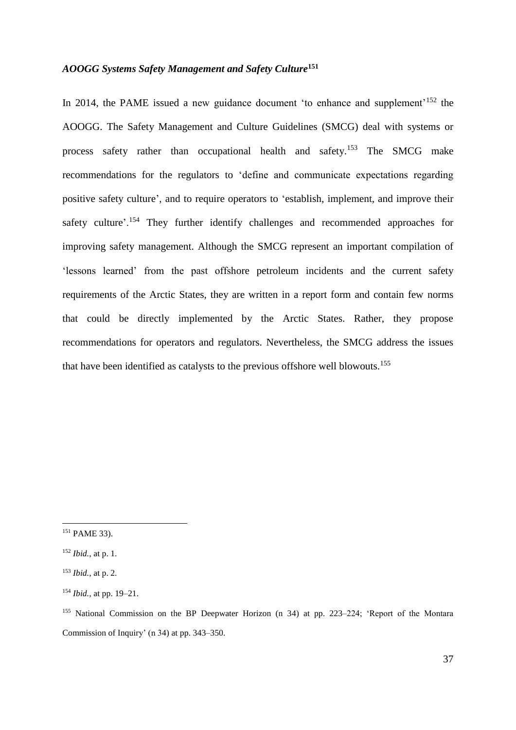### *AOOGG Systems Safety Management and Safety Culture***<sup>151</sup>**

In 2014, the PAME issued a new guidance document 'to enhance and supplement'<sup>152</sup> the AOOGG. The Safety Management and Culture Guidelines (SMCG) deal with systems or process safety rather than occupational health and safety.<sup>153</sup> The SMCG make recommendations for the regulators to 'define and communicate expectations regarding positive safety culture', and to require operators to 'establish, implement, and improve their safety culture'.<sup>154</sup> They further identify challenges and recommended approaches for improving safety management. Although the SMCG represent an important compilation of 'lessons learned' from the past offshore petroleum incidents and the current safety requirements of the Arctic States, they are written in a report form and contain few norms that could be directly implemented by the Arctic States. Rather, they propose recommendations for operators and regulators. Nevertheless, the SMCG address the issues that have been identified as catalysts to the previous offshore well blowouts.<sup>155</sup>

<sup>151</sup> PAME 33).

<sup>152</sup> *Ibid.,* at p. 1.

<sup>153</sup> *Ibid.,* at p. 2.

<sup>154</sup> *Ibid.,* at pp. 19–21.

<sup>155</sup> National Commission on the BP Deepwater Horizon (n 34) at pp. 223–224; 'Report of the Montara Commission of Inquiry' (n 34) at pp. 343–350.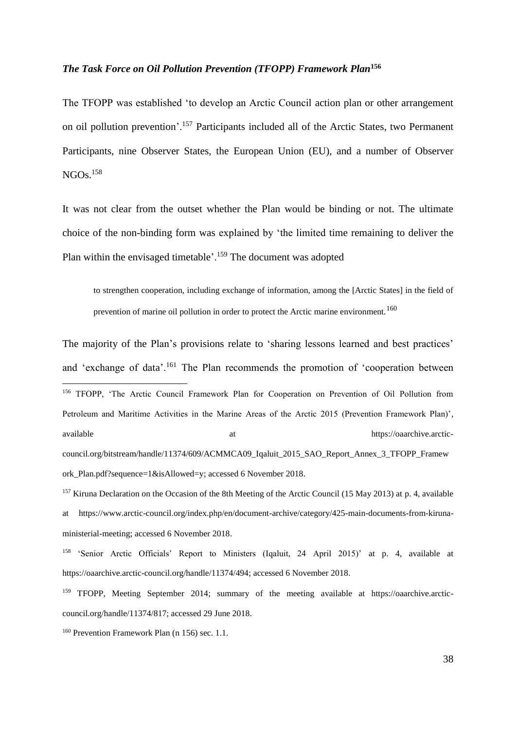### *The Task Force on Oil Pollution Prevention (TFOPP) Framework Plan***<sup>156</sup>**

The TFOPP was established 'to develop an Arctic Council action plan or other arrangement on oil pollution prevention'.<sup>157</sup> Participants included all of the Arctic States, two Permanent Participants, nine Observer States, the European Union (EU), and a number of Observer  $NGOs.<sup>158</sup>$ 

It was not clear from the outset whether the Plan would be binding or not. The ultimate choice of the non-binding form was explained by 'the limited time remaining to deliver the Plan within the envisaged timetable'.<sup>159</sup> The document was adopted

to strengthen cooperation, including exchange of information, among the [Arctic States] in the field of prevention of marine oil pollution in order to protect the Arctic marine environment.<sup>160</sup>

The majority of the Plan's provisions relate to 'sharing lessons learned and best practices' and 'exchange of data'.<sup>161</sup> The Plan recommends the promotion of 'cooperation between 1 <sup>156</sup> TFOPP, 'The Arctic Council Framework Plan for Cooperation on Prevention of Oil Pollution from Petroleum and Maritime Activities in the Marine Areas of the Arctic 2015 (Prevention Framework Plan)', available at the https://oaarchive.arcticcouncil.org/bitstream/handle/11374/609/ACMMCA09\_Iqaluit\_2015\_SAO\_Report\_Annex\_3\_TFOPP\_Framew ork\_Plan.pdf?sequence=1&isAllowed=y; accessed 6 November 2018.

<sup>157</sup> Kiruna Declaration on the Occasion of the 8th Meeting of the Arctic Council (15 May 2013) at p. 4, available at https://www.arctic-council.org/index.php/en/document-archive/category/425-main-documents-from-kirunaministerial-meeting; accessed 6 November 2018.

<sup>158</sup> 'Senior Arctic Officials' Report to Ministers (Iqaluit, 24 April 2015)' at p. 4, available at https://oaarchive.arctic-council.org/handle/11374/494; accessed 6 November 2018.

<sup>159</sup> TFOPP, Meeting September 2014; summary of the meeting available at https://oaarchive.arcticcouncil.org/handle/11374/817; accessed 29 June 2018.

<sup>160</sup> Prevention Framework Plan (n 156) sec. 1.1.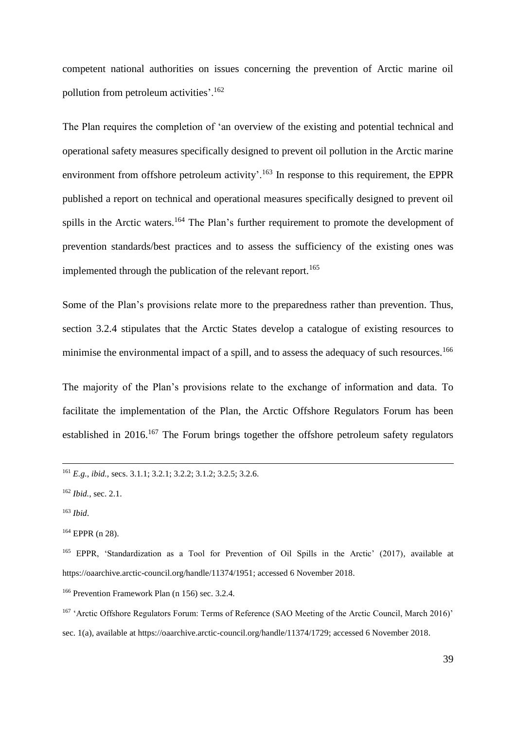competent national authorities on issues concerning the prevention of Arctic marine oil pollution from petroleum activities'.<sup>162</sup>

The Plan requires the completion of 'an overview of the existing and potential technical and operational safety measures specifically designed to prevent oil pollution in the Arctic marine environment from offshore petroleum activity'.<sup>163</sup> In response to this requirement, the EPPR published a report on technical and operational measures specifically designed to prevent oil spills in the Arctic waters.<sup>164</sup> The Plan's further requirement to promote the development of prevention standards/best practices and to assess the sufficiency of the existing ones was implemented through the publication of the relevant report. 165

Some of the Plan's provisions relate more to the preparedness rather than prevention. Thus, section 3.2.4 stipulates that the Arctic States develop a catalogue of existing resources to minimise the environmental impact of a spill, and to assess the adequacy of such resources.<sup>166</sup>

The majority of the Plan's provisions relate to the exchange of information and data. To facilitate the implementation of the Plan, the Arctic Offshore Regulators Forum has been established in 2016.<sup>167</sup> The Forum brings together the offshore petroleum safety regulators

<sup>161</sup> *E.g., ibid.,* secs. 3.1.1; 3.2.1; 3.2.2; 3.1.2; 3.2.5; 3.2.6.

<sup>162</sup> *Ibid.,* sec. 2.1.

<sup>163</sup> *Ibid*.

<sup>164</sup> EPPR (n 28).

<sup>165</sup> EPPR, 'Standardization as a Tool for Prevention of Oil Spills in the Arctic' (2017), available at https://oaarchive.arctic-council.org/handle/11374/1951; accessed 6 November 2018.

<sup>166</sup> Prevention Framework Plan (n 156) sec. 3.2.4.

<sup>&</sup>lt;sup>167</sup> 'Arctic Offshore Regulators Forum: Terms of Reference (SAO Meeting of the Arctic Council, March 2016)' sec. 1(a), available at https://oaarchive.arctic-council.org/handle/11374/1729; accessed 6 November 2018.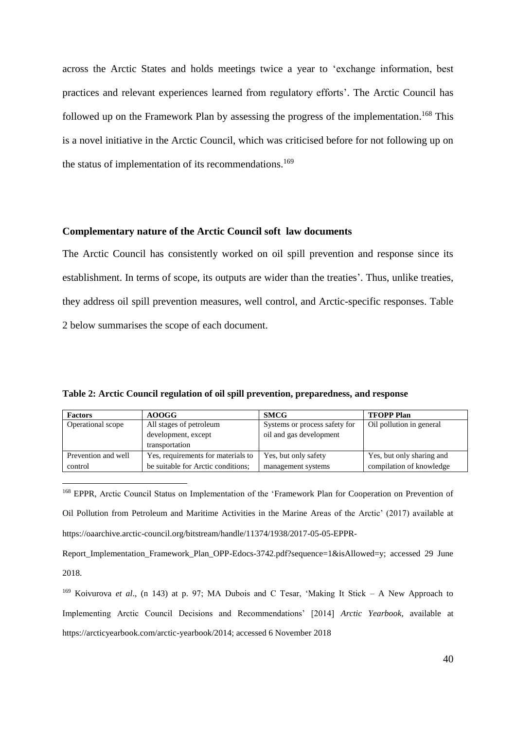across the Arctic States and holds meetings twice a year to 'exchange information, best practices and relevant experiences learned from regulatory efforts'. The Arctic Council has followed up on the Framework Plan by assessing the progress of the implementation.<sup>168</sup> This is a novel initiative in the Arctic Council, which was criticised before for not following up on the status of implementation of its recommendations.<sup>169</sup>

### **Complementary nature of the Arctic Council soft law documents**

The Arctic Council has consistently worked on oil spill prevention and response since its establishment. In terms of scope, its outputs are wider than the treaties'. Thus, unlike treaties, they address oil spill prevention measures, well control, and Arctic-specific responses. Table 2 below summarises the scope of each document.

**Table 2: Arctic Council regulation of oil spill prevention, preparedness, and response**

1

| <b>Factors</b>      | <b>AOOGG</b>                       | <b>SMCG</b>                   | <b>TFOPP Plan</b>         |
|---------------------|------------------------------------|-------------------------------|---------------------------|
| Operational scope   | All stages of petroleum            | Systems or process safety for | Oil pollution in general  |
|                     | development, except                | oil and gas development       |                           |
|                     | transportation                     |                               |                           |
| Prevention and well | Yes, requirements for materials to | Yes, but only safety          | Yes, but only sharing and |
| control             | be suitable for Arctic conditions; | management systems            | compilation of knowledge  |

<sup>168</sup> EPPR, Arctic Council Status on Implementation of the 'Framework Plan for Cooperation on Prevention of Oil Pollution from Petroleum and Maritime Activities in the Marine Areas of the Arctic' (2017) available at https://oaarchive.arctic-council.org/bitstream/handle/11374/1938/2017-05-05-EPPR-

Report\_Implementation\_Framework\_Plan\_OPP-Edocs-3742.pdf?sequence=1&isAllowed=y; accessed 29 June 2018.

<sup>169</sup> Koivurova *et al*., (n 143) at p. 97; MA Dubois and C Tesar, 'Making It Stick – A New Approach to Implementing Arctic Council Decisions and Recommendations' [2014] *Arctic Yearbook*, available at https://arcticyearbook.com/arctic-yearbook/2014; accessed 6 November 2018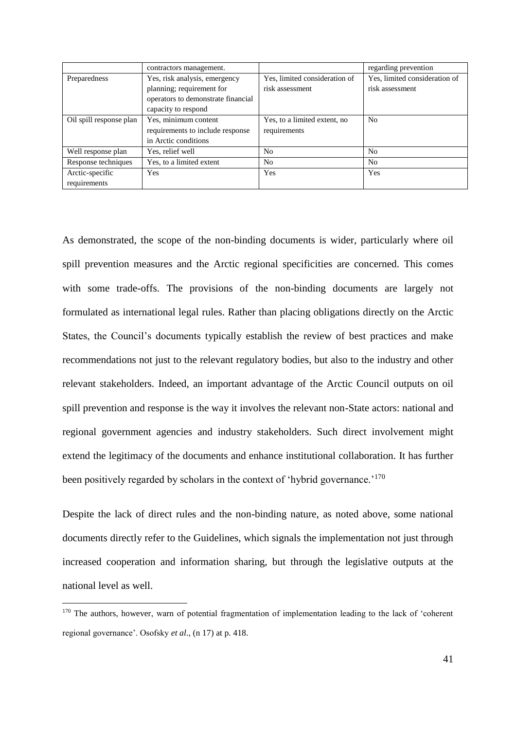|                         | contractors management.            |                               | regarding prevention          |
|-------------------------|------------------------------------|-------------------------------|-------------------------------|
| Preparedness            | Yes, risk analysis, emergency      | Yes, limited consideration of | Yes, limited consideration of |
|                         | planning; requirement for          | risk assessment               | risk assessment               |
|                         | operators to demonstrate financial |                               |                               |
|                         | capacity to respond                |                               |                               |
| Oil spill response plan | Yes, minimum content               | Yes, to a limited extent, no  | N <sub>0</sub>                |
|                         | requirements to include response   | requirements                  |                               |
|                         | in Arctic conditions               |                               |                               |
| Well response plan      | Yes, relief well                   | No                            | No                            |
| Response techniques     | Yes, to a limited extent           | No                            | No                            |
| Arctic-specific         | Yes                                | Yes                           | Yes                           |
| requirements            |                                    |                               |                               |

As demonstrated, the scope of the non-binding documents is wider, particularly where oil spill prevention measures and the Arctic regional specificities are concerned. This comes with some trade-offs. The provisions of the non-binding documents are largely not formulated as international legal rules. Rather than placing obligations directly on the Arctic States, the Council's documents typically establish the review of best practices and make recommendations not just to the relevant regulatory bodies, but also to the industry and other relevant stakeholders. Indeed, an important advantage of the Arctic Council outputs on oil spill prevention and response is the way it involves the relevant non-State actors: national and regional government agencies and industry stakeholders. Such direct involvement might extend the legitimacy of the documents and enhance institutional collaboration. It has further been positively regarded by scholars in the context of 'hybrid governance.'<sup>170</sup>

Despite the lack of direct rules and the non-binding nature, as noted above, some national documents directly refer to the Guidelines, which signals the implementation not just through increased cooperation and information sharing, but through the legislative outputs at the national level as well.

<sup>&</sup>lt;sup>170</sup> The authors, however, warn of potential fragmentation of implementation leading to the lack of 'coherent regional governance'. Osofsky *et al*., (n 17) at p. 418.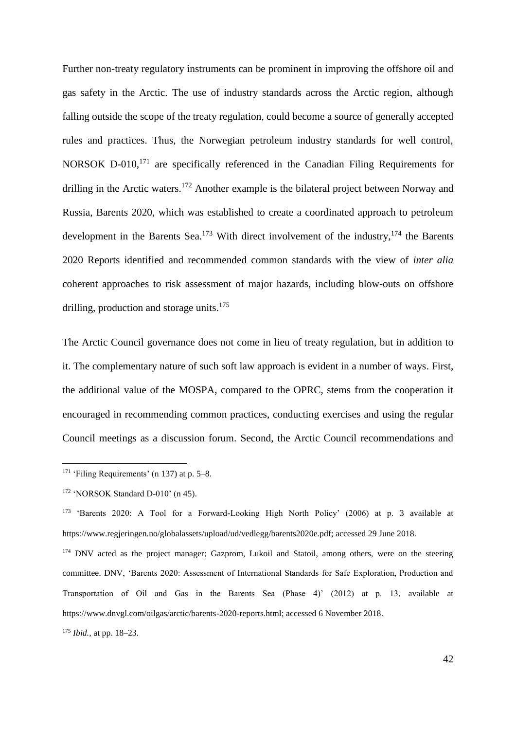Further non-treaty regulatory instruments can be prominent in improving the offshore oil and gas safety in the Arctic. The use of industry standards across the Arctic region, although falling outside the scope of the treaty regulation, could become a source of generally accepted rules and practices. Thus, the Norwegian petroleum industry standards for well control, NORSOK D-010,<sup>171</sup> are specifically referenced in the Canadian Filing Requirements for drilling in the Arctic waters.<sup>172</sup> Another example is the bilateral project between Norway and Russia, Barents 2020, which was established to create a coordinated approach to petroleum development in the Barents Sea.<sup>173</sup> With direct involvement of the industry,  $174$  the Barents 2020 Reports identified and recommended common standards with the view of *inter alia* coherent approaches to risk assessment of major hazards, including blow-outs on offshore drilling, production and storage units.<sup>175</sup>

The Arctic Council governance does not come in lieu of treaty regulation, but in addition to it. The complementary nature of such soft law approach is evident in a number of ways. First, the additional value of the MOSPA, compared to the OPRC, stems from the cooperation it encouraged in recommending common practices, conducting exercises and using the regular Council meetings as a discussion forum. Second, the Arctic Council recommendations and

<sup>&</sup>lt;sup>171</sup> 'Filing Requirements' (n 137) at p.  $5-8$ .

<sup>172</sup> 'NORSOK Standard D-010' (n 45).

<sup>173</sup> 'Barents 2020: A Tool for a Forward-Looking High North Policy' (2006) at p. 3 available at https://www.regjeringen.no/globalassets/upload/ud/vedlegg/barents2020e.pdf; accessed 29 June 2018.

<sup>&</sup>lt;sup>174</sup> DNV acted as the project manager; Gazprom, Lukoil and Statoil, among others, were on the steering committee. DNV, 'Barents 2020: Assessment of International Standards for Safe Exploration, Production and Transportation of Oil and Gas in the Barents Sea (Phase 4)' (2012) at p. 13, available at https://www.dnvgl.com/oilgas/arctic/barents-2020-reports.html; accessed 6 November 2018.

<sup>175</sup> *Ibid.,* at pp. 18–23.